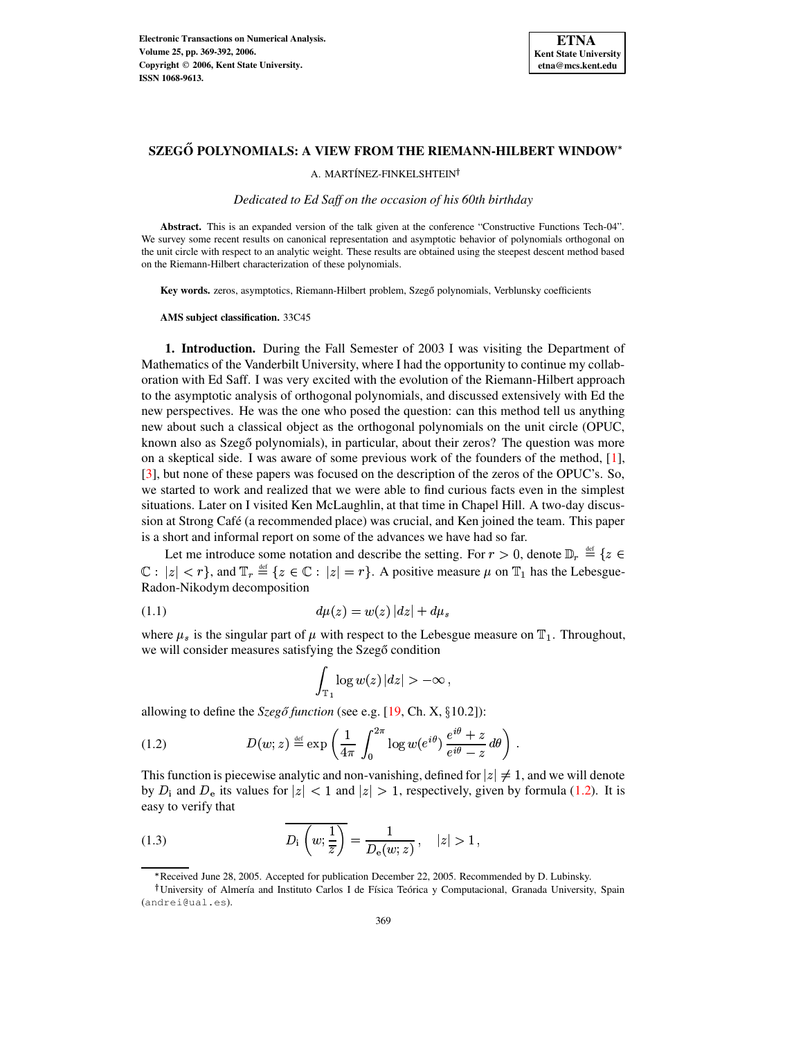

A. MARTÍNEZ-FINKELSHTEIN<sup>†</sup>

*Dedicated to Ed Saff on the occasion of his 60th birthday*

**Abstract.** This is an expanded version of the talk given at the conference "Constructive Functions Tech-04". We survey some recent results on canonical representation and asymptotic behavior of polynomials orthogonal on the unit circle with respect to an analytic weight. These results are obtained using the steepest descent method based on the Riemann-Hilbert characterization of these polynomials.

**Key words.** zeros, asymptotics, Riemann-Hilbert problem, Szegő polynomials, Verblunsky coefficients

**AMS subject classification.** 33C45

**1. Introduction.** During the Fall Semester of 2003 I was visiting the Department of Mathematics of the Vanderbilt University, where I had the opportunity to continue my collaboration with Ed Saff. I was very excited with the evolution of the Riemann-Hilbert approach to the asymptotic analysis of orthogonal polynomials, and discussed extensively with Ed the new perspectives. He was the one who posed the question: can this method tell us anything new about such a classical object as the orthogonal polynomials on the unit circle (OPUC, known also as Szegő polynomials), in particular, about their zeros? The question was more on a skeptical side. I was aware of some previous work of the founders of the method, [\[1\]](#page-23-0), [\[3\]](#page-23-1), but none of these papers was focused on the description of the zeros of the OPUC's. So, we started to work and realized that we were able to find curious facts even in the simplest situations. Later on I visited Ken McLaughlin, at that time in Chapel Hill. A two-day discussion at Strong Café (a recommended place) was crucial, and Ken joined the team. This paper is a short and informal report on some of the advances we have had so far.

Let me introduce some notation and describe the setting. For  $r > 0$ , denote  $\mathbb{D}_r \stackrel{\text{def}}{=} \{z \in$  $\mathbb{C}: |z| < r$ , and  $\mathbb{T}_r \stackrel{\text{def}}{=} \{z \in \mathbb{C}: |z| = r\}$ . A positive measure  $\mu$  on  $\mathbb{T}_1$  has the Lebesgue-Radon-Nikodym decomposition

<span id="page-0-1"></span>(1.1) 
$$
d\mu(z) = w(z) |dz| + d\mu_s
$$

where  $\mu_s$  is the singular part of  $\mu$  with respect to the Lebesgue measure on  $\mathbb{T}_1$ . Throughout, we will consider measures satisfying the Szegő condition

<span id="page-0-0"></span>
$$
\int_{\mathbb{T}_1} \log w(z)\, |dz| > -\infty\,,
$$

allowing to define the  $Szeg\delta$  *function* (see e.g. [\[19,](#page-23-2) Ch. X,  $\S 10.2$ ]):

(1.2) 
$$
D(w; z) \stackrel{\text{def}}{=} \exp\left(\frac{1}{4\pi} \int_0^{2\pi} \log w(e^{i\theta}) \frac{e^{i\theta} + z}{e^{i\theta} - z} d\theta\right).
$$

This function is piecewise analytic and non-vanishing, defined for  $|z| \neq 1$ , and we will denote by  $D_i$  and  $D_e$  its values for  $|z| < 1$  and  $|z| > 1$ , respectively, given by formula [\(1.2\)](#page-0-0). It is easy to verify that

<span id="page-0-2"></span>(1.3) 
$$
D_{i}\left(w;\frac{1}{\overline{z}}\right)=\frac{1}{D_{e}(w;z)}, \quad |z|>1,
$$

<sup>b</sup> Received June 28, 2005. Accepted for publication December 22, 2005. Recommended by D. Lubinsky.

University of Almería and Instituto Carlos I de Física Teórica y Computacional, Granada University, Spain (andrei@ual.es).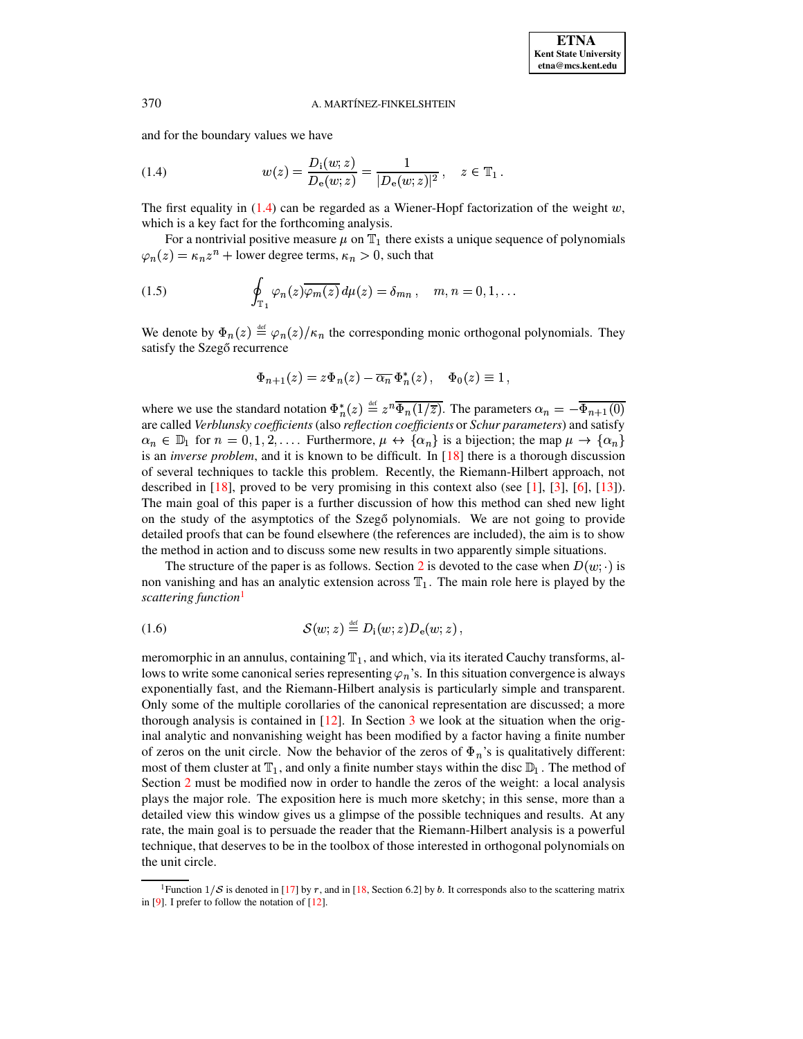<span id="page-1-0"></span>and for the boundary values we have

(1.4) 
$$
w(z) = \frac{D_i(w; z)}{D_e(w; z)} = \frac{1}{|D_e(w; z)|^2}, \quad z \in \mathbb{T}_1.
$$

The first equality in  $(1.4)$  can be regarded as a Wiener-Hopf factorization of the weight  $w$ , which is a key fact for the forthcoming analysis.

For a nontrivial positive measure  $\mu$  on  $\mathbb{T}_1$  there exists a unique sequence of polynomials  $\varphi_n(z) = \kappa_n z^n + \text{lower degree terms}, \kappa_n > 0, \text{ such that}$ 

(1.5) 
$$
\oint_{\mathbb{T}_1} \varphi_n(z) \overline{\varphi_m(z)} d\mu(z) = \delta_{mn}, \quad m, n = 0, 1, ...
$$

We denote by  $\Phi_n(z) \stackrel{\text{def}}{=} \varphi_n(z)/\kappa_n$  the corresponding monic orthogonal polynomials. They satisfy the Szegő recurrence

<span id="page-1-3"></span>
$$
\Phi_{n+1}(z) = z \Phi_n(z) - \overline{\alpha_n} \, \Phi_n^*(z) \,, \quad \Phi_0(z) \equiv 1 \,,
$$

where we use the standard notation  $\Phi_n^*(z) \stackrel{\text{def}}{=} z^n \overline{\Phi_n(1/\overline{z})}$ . The parameters  $\alpha_n = -\overline{\Phi_{n+1}(0)}$ are called *Verblunsky coefficients* (also *reflection coefficients* or *Schur parameters*) and satisfy  $\alpha_n \in \mathbb{D}_1$  for  $n = 0, 1, 2, \ldots$  Furthermore,  $\mu \leftrightarrow \{\alpha_n\}$  is a bijection; the map  $\mu \to \{\alpha_n\}$ is an *inverse problem*, and it is known to be difficult. In [\[18\]](#page-23-3) there is a thorough discussion of several techniques to tackle this problem. Recently, the Riemann-Hilbert approach, not described in  $[18]$ , proved to be very promising in this context also (see  $[1]$ ,  $[3]$ ,  $[6]$ ,  $[13]$ ). The main goal of this paper is a further discussion of how this method can shed new light on the study of the asymptotics of the Szegő polynomials. We are not going to provide detailed proofs that can be found elsewhere (the references are included), the aim is to show the method in action and to discuss some new results in two apparently simple situations.

<span id="page-1-2"></span>The structure of the paper is as follows. Section [2](#page-2-0) is devoted to the case when  $D(w; \cdot)$  is non vanishing and has an analytic extension across  $T_1$ . The main role here is played by the *scattering function*[1](#page-1-1)

$$
(1.6) \tS(w; z) \stackrel{\text{def}}{=} D_i(w; z) D_e(w; z),
$$

meromorphic in an annulus, containing  $\mathbb{T}_1$ , and which, via its iterated Cauchy transforms, allows to write some canonical series representing  $\varphi_n$ 's. In this situation convergence is always exponentially fast, and the Riemann-Hilbert analysis is particularly simple and transparent. Only some of the multiple corollaries of the canonical representation are discussed; a more thorough analysis is contained in  $[12]$ . In Section [3](#page-14-0) we look at the situation when the original analytic and nonvanishing weight has been modified by a factor having a finite number of zeros on the unit circle. Now the behavior of the zeros of  $\Phi_n$ 's is qualitatively different: most of them cluster at  $T_1$ , and only a finite number stays within the disc  $\mathbb{D}_1$ . The method of Section [2](#page-2-0) must be modified now in order to handle the zeros of the weight: a local analysis plays the major role. The exposition here is much more sketchy; in this sense, more than a detailed view this window gives us a glimpse of the possible techniques and results. At any rate, the main goal is to persuade the reader that the Riemann-Hilbert analysis is a powerful technique, that deserves to be in the toolbox of those interested in orthogonal polynomials on the unit circle.

<span id="page-1-1"></span><sup>&</sup>lt;sup>1</sup>Function  $1/\mathcal{S}$  is denoted in [\[17\]](#page-23-7) by r, and in [\[18,](#page-23-3) Section 6.2] by b. It corresponds also to the scattering matrix in [\[9\]](#page-23-8). I prefer to follow the notation of [\[12\]](#page-23-6).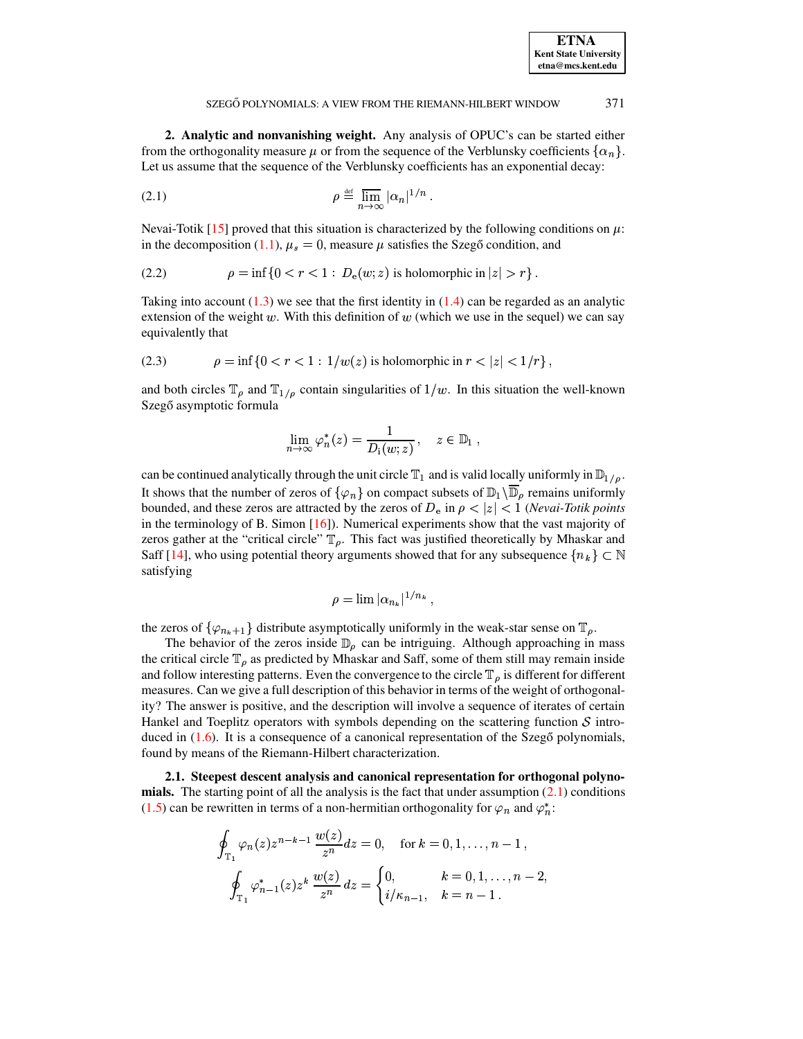<span id="page-2-0"></span>**2. Analytic and nonvanishing weight.** Any analysis of OPUC's can be started either from the orthogonality measure  $\mu$  or from the sequence of the Verblunsky coefficients  $\{\alpha_n\}$ . Let us assume that the sequence of the Verblunsky coefficients has an exponential decay:

(2.1) 
$$
\rho \stackrel{\text{def}}{=} \overline{\lim}_{n \to \infty} |\alpha_n|^{1/n} .
$$

Nevai-Totik [\[15\]](#page-23-9) proved that this situation is characterized by the following conditions on  $\mu$ : in the decomposition [\(1.1\)](#page-0-1),  $\mu_s = 0$ , measure  $\mu$  satisfies the Szegő condition, and

$$
(2.2) \qquad \rho = \inf\{0 < r < 1 : D_e(w; z) \text{ is holomorphic in } |z| > r\}.
$$

<span id="page-2-3"></span>Taking into account  $(1.3)$  we see that the first identity in  $(1.4)$  can be regarded as an analytic extension of the weight  $w$ . With this definition of  $w$  (which we use in the sequel) we can say equivalently that

(2.3) 
$$
\rho = \inf \{ 0 < r < 1 : 1/w(z) \text{ is holomorphic in } r < |z| < 1/r \},
$$

and both circles  $\mathbb{T}_{\rho}$  and  $\mathbb{T}_{1/\rho}$  contain singularities of  $1/w$ . In this situation the well-known Szegő asymptotic formula

<span id="page-2-2"></span><span id="page-2-1"></span>
$$
\lim_{n \to \infty} \varphi_n^*(z) = \frac{1}{D_i(w; z)}, \quad z \in \mathbb{D}_1 ,
$$

can be continued analytically through the unit circle  $\mathbb{T}_1$  and is valid locally uniformly in  $\mathbb{D}_{1/\rho}$ . It shows that the number of zeros of  $\{\varphi_n\}$  on compact subsets of  $\mathbb{D}_1\setminus\overline{\mathbb{D}}_\rho$  remains uniformly bounded, and these zeros are attracted by the zeros of  $D_e$  in  $\rho < |z| < 1$  (*Nevai-Totik points* in the terminology of B. Simon [\[16\]](#page-23-10)). Numerical experiments show that the vast majority of zeros gather at the "critical circle"  $\mathbb{T}_{\rho}$ . This fact was justified theoretically by Mhaskar and Saff [\[14\]](#page-23-11), who using potential theory arguments showed that for any subsequence  ${n_k} \subset \mathbb{N}$ satisfying

$$
\rho = \lim |\alpha_{n_k}|^{1/n_k},
$$

;

the zeros of  $\{\varphi_{n_k+1}\}\$  distribute asymptotically uniformly in the weak-star sense on  $\mathbb{T}_{\rho}$ .

The behavior of the zeros inside  $\mathbb{D}_{\rho}$  can be intriguing. Although approaching in mass the critical circle  $\mathbb{T}_{\rho}$  as predicted by Mhaskar and Saff, some of them still may remain inside and follow interesting patterns. Even the convergence to the circle  $\mathbb{T}_{\rho}$  is different for different measures. Can we give a full description of this behavior in terms of the weight of orthogonality? The answer is positive, and the description will involve a sequence of iterates of certain Hankel and Toeplitz operators with symbols depending on the scattering function  $\mathcal S$  introduced in  $(1.6)$ . It is a consequence of a canonical representation of the Szegő polynomials, found by means of the Riemann-Hilbert characterization.

**2.1. Steepest descent analysis and canonical representation for orthogonal polynomials.** The starting point of all the analysis is the fact that under assumption [\(2.1\)](#page-2-1) conditions [\(1.5\)](#page-1-3) can be rewritten in terms of a non-hermitian orthogonality for  $\varphi_n$  and  $\varphi_n^*$ :

$$
\oint_{\mathbb{T}_1} \varphi_n(z) z^{n-k-1} \, \frac{w(z)}{z^n} dz = 0, \quad \text{for } k = 0, 1, \dots, n-1 \,,
$$
\n
$$
\oint_{\mathbb{T}_1} \varphi_{n-1}^*(z) z^k \, \frac{w(z)}{z^n} dz = \begin{cases} 0, & k = 0, 1, \dots, n-2, \\ i/\kappa_{n-1}, & k = n-1 \,. \end{cases}
$$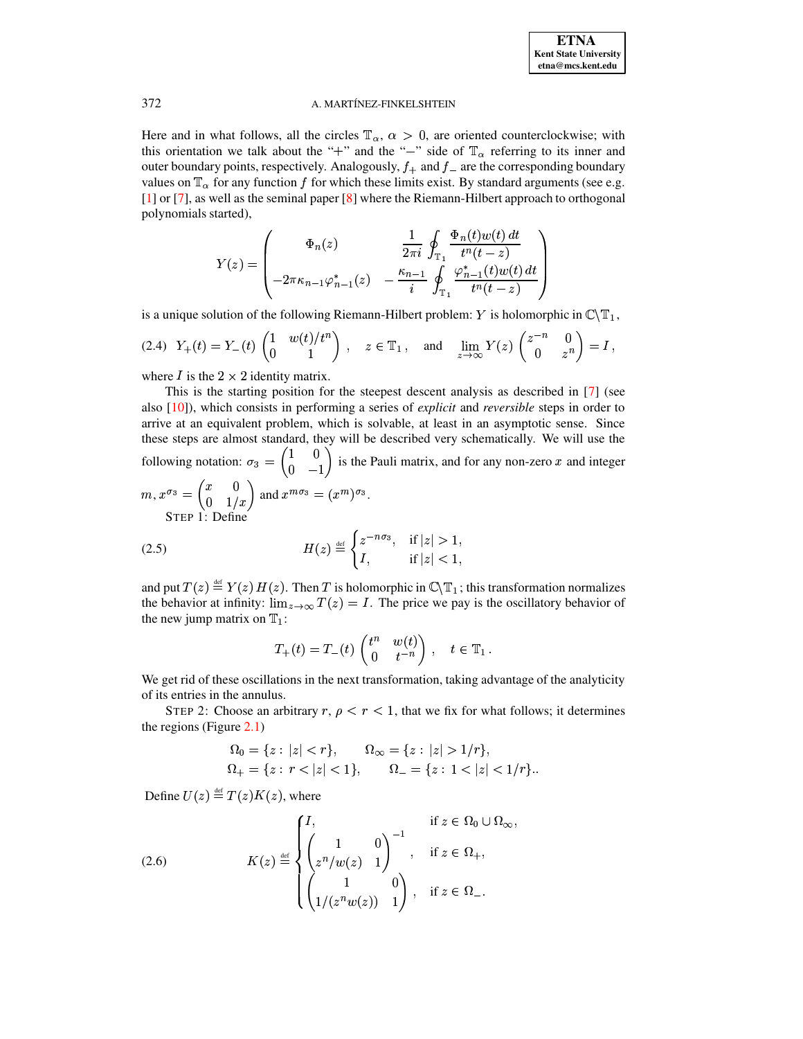Here and in what follows, all the circles  $\mathbb{T}_{\alpha}$ ,  $\alpha > 0$ , are oriented counterclockwise; with this orientation we talk about the "+" and the "-" side of  $\mathbb{T}_{\alpha}$  referring to its inner and outer boundary points, respectively. Analogously,  $f_+$  and  $f_-$  are the corresponding boundary values on  $\mathbb{T}_{\alpha}$  for any function f for which these limits exist. By standard arguments (see e.g. [1] or [7], as well as the seminal paper [8] where the Riemann-Hilbert approach to orthogonal polynomials started),

<span id="page-3-2"></span>
$$
Y(z) = \begin{pmatrix} \Phi_n(z) & \frac{1}{2\pi i} \oint_{\mathbb{T}_1} \frac{\Phi_n(t) w(t) dt}{t^n(t - z)} \\ -2\pi \kappa_{n-1} \varphi_{n-1}^*(z) & -\frac{\kappa_{n-1}}{i} \oint_{\mathbb{T}_1} \frac{\varphi_{n-1}^*(t) w(t) dt}{t^n(t - z)} \end{pmatrix}
$$

is a unique solution of the following Riemann-Hilbert problem: Y is holomorphic in  $\mathbb{C}\backslash\mathbb{T}_1$ ,

$$
(2.4) \ \ Y_{+}(t) = Y_{-}(t) \begin{pmatrix} 1 & w(t)/t^{n} \\ 0 & 1 \end{pmatrix}, \quad z \in \mathbb{T}_{1}, \quad \text{and} \quad \lim_{z \to \infty} Y(z) \begin{pmatrix} z^{-n} & 0 \\ 0 & z^{n} \end{pmatrix} = I,
$$

where *I* is the  $2 \times 2$  identity matrix.

This is the starting position for the steepest descent analysis as described in [7] (see also  $[10]$ , which consists in performing a series of *explicit* and *reversible* steps in order to arrive at an equivalent problem, which is solvable, at least in an asymptotic sense. Since these steps are almost standard, they will be described very schematically. We will use the following notation:  $\sigma_3 = \begin{pmatrix} 1 & 0 \\ 0 & -1 \end{pmatrix}$  is the Pauli matrix, and for any non-zero x and integer  $m, x^{\sigma_3} = \begin{pmatrix} x & 0 \\ 0 & 1/x \end{pmatrix}$  and  $x^{m\sigma_3} = (x^m)^{\sigma_3}$ . STEP 1: Define  $\overline{\phantom{a}}$ 

<span id="page-3-0"></span>
$$
(2.5) \quad H(z) \stackrel{\text{def}}{=} \begin{cases} z^{-n\sigma_3}, & \text{if } |z| > 1, \\ I, & \text{if } |z| < 1, \end{cases}
$$

and put  $T(z) \stackrel{\text{def}}{=} Y(z) H(z)$ . Then T is holomorphic in  $\mathbb{C}\backslash \mathbb{T}_1$ ; this transformation normalizes the behavior at infinity:  $\lim_{z\to\infty} T(z) = I$ . The price we pay is the oscillatory behavior of the new jump matrix on  $T_1$ :

$$
T_+(t) = T_-(t) \begin{pmatrix} t^n & w(t) \\ 0 & t^{-n} \end{pmatrix}, \quad t \in \mathbb{T}_1.
$$

We get rid of these oscillations in the next transformation, taking advantage of the analyticity of its entries in the annulus.

STEP 2: Choose an arbitrary r,  $\rho < r < 1$ , that we fix for what follows; it determines the regions (Figure  $2.1$ )

<span id="page-3-1"></span>
$$
\begin{aligned} \Omega_0 &= \{z: |z| < r\}, & \Omega_\infty &= \{z: |z| > 1/r\}, \\ \Omega_+ &= \{z: r < |z| < 1\}, & \Omega_- &= \{z: 1 < |z| < 1/r\}. \end{aligned}
$$

Define  $U(z) \stackrel{\text{def}}{=} T(z)K(z)$ , where

(2.6) 
$$
K(z) \stackrel{\text{def}}{=} \begin{cases} I, & \text{if } z \in \Omega_0 \cup \Omega_{\infty}, \\ \begin{pmatrix} 1 & 0 \\ z^n/w(z) & 1 \end{pmatrix}^{-1}, & \text{if } z \in \Omega_+, \\ \begin{pmatrix} 1 & 0 \\ 1/(z^n w(z)) & 1 \end{pmatrix}, & \text{if } z \in \Omega_-. \end{cases}
$$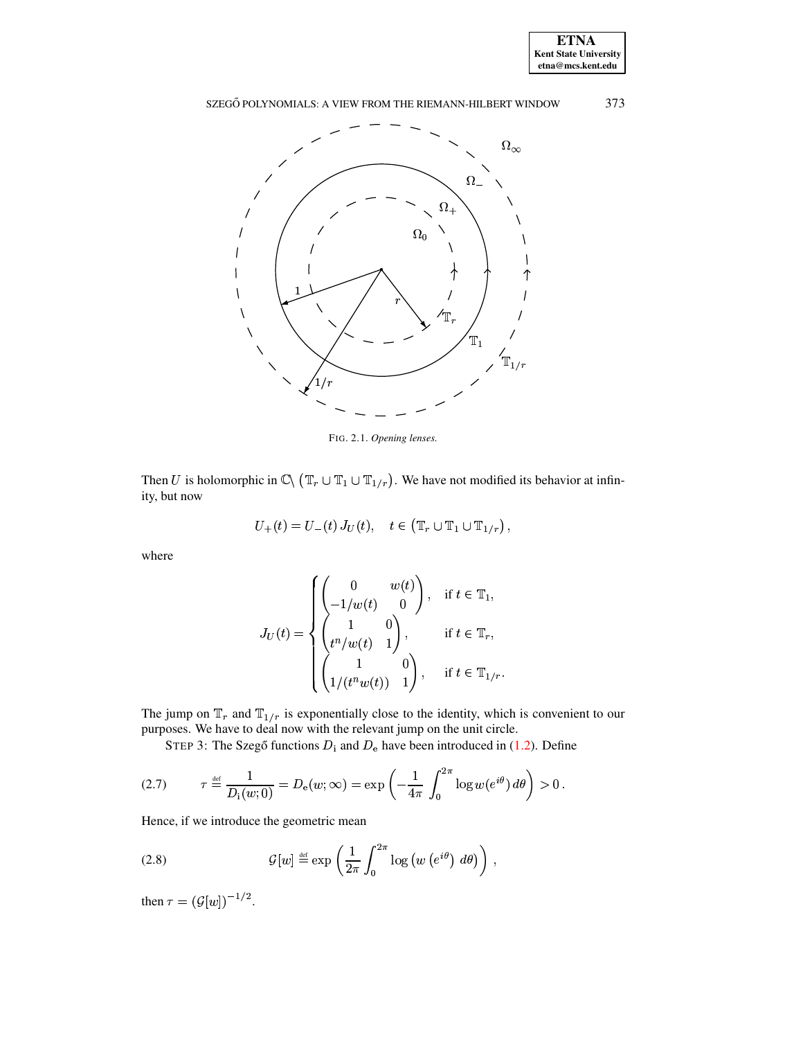



<span id="page-4-0"></span>FIG. 2.1. Opening lenses.

Then U is holomorphic in  $\mathbb{C}\setminus (\mathbb{T}_r \cup \mathbb{T}_1 \cup \mathbb{T}_{1/r})$ . We have not modified its behavior at infinity, but now

$$
U_{+}(t) = U_{-}(t) J_{U}(t), \quad t \in (\mathbb{T}_{r} \cup \mathbb{T}_{1} \cup \mathbb{T}_{1/r}),
$$

where

<span id="page-4-1"></span>
$$
J_U(t) = \begin{cases} \begin{pmatrix} 0 & w(t) \\ -1/w(t) & 0 \end{pmatrix}, & \text{if } t \in \mathbb{T}_1, \\ \begin{pmatrix} 1 & 0 \\ t^n/w(t) & 1 \end{pmatrix}, & \text{if } t \in \mathbb{T}_r, \\ \begin{pmatrix} 1 & 0 \\ 1/(t^n w(t)) & 1 \end{pmatrix}, & \text{if } t \in \mathbb{T}_{1/r}. \end{cases}
$$

The jump on  $\mathbb{T}_r$  and  $\mathbb{T}_{1/r}$  is exponentially close to the identity, which is convenient to our purposes. We have to deal now with the relevant jump on the unit circle.

<span id="page-4-2"></span>STEP 3: The Szegő functions  $D_i$  and  $D_e$  have been introduced in (1.2). Define

(2.7) 
$$
\tau \stackrel{\text{def}}{=} \frac{1}{D_i(w;0)} = D_e(w;\infty) = \exp\left(-\frac{1}{4\pi} \int_0^{2\pi} \log w(e^{i\theta}) d\theta\right) > 0.
$$

Hence, if we introduce the geometric mean

(2.8) 
$$
\mathcal{G}[w] \stackrel{\text{def}}{=} \exp\left(\frac{1}{2\pi} \int_0^{2\pi} \log\left(w\left(e^{i\theta}\right) \, d\theta\right)\right),
$$

then  $\tau = (\mathcal{G}[w])^{-1/2}$ .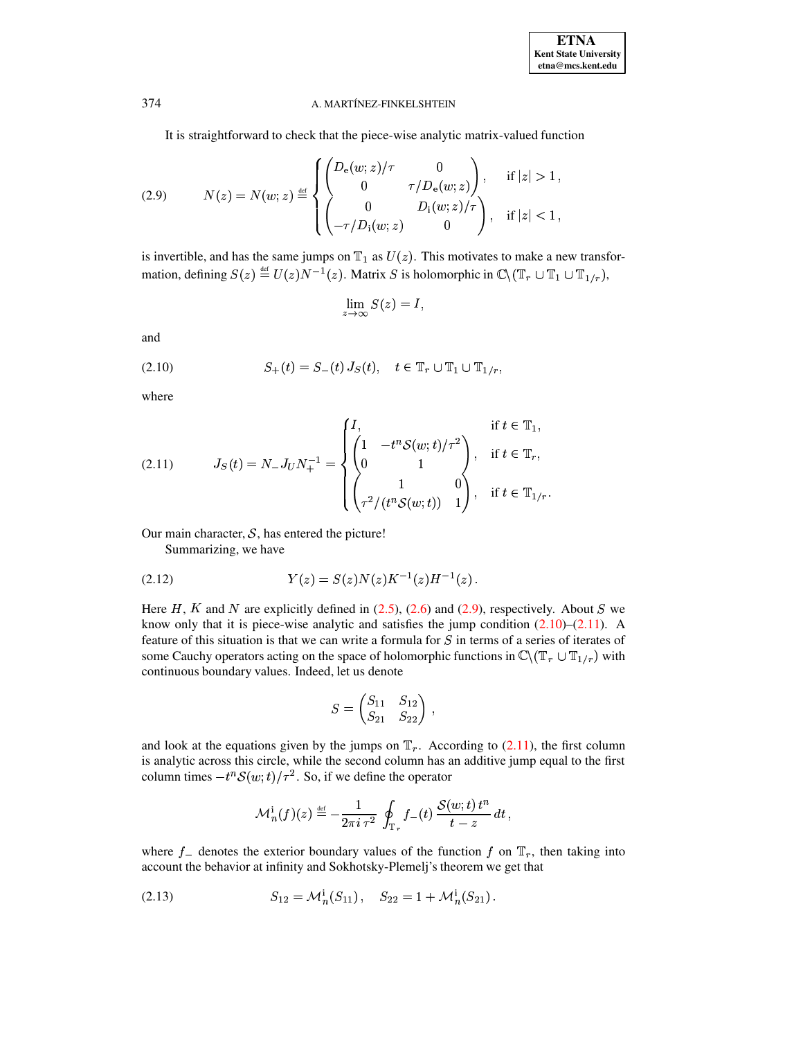It is straightforward to check that the piece-wise analytic matrix-valued function

(2.9) 
$$
N(z) = N(w; z) \stackrel{\text{def}}{=} \begin{cases} \begin{pmatrix} D_{e}(w; z) / \tau & 0 \\ 0 & \tau / D_{e}(w; z) \end{pmatrix}, & \text{if } |z| > 1, \\ 0 & D_{i}(w; z) / \tau \\ -\tau / D_{i}(w; z) & 0 \end{pmatrix}, & \text{if } |z| < 1, \end{cases}
$$

is invertible, and has the same jumps on  $\mathbb{T}_1$  as  $U(z)$ . This motivates to make a new transformation, defining  $S(z) \stackrel{\text{def}}{=} U(z)N^{-1}(z)$ . Matrix S is holomorphic in  $\mathbb{C}\setminus (\mathbb{T}_r \cup \mathbb{T}_1 \cup \mathbb{T}_{1/r}),$ 

<span id="page-5-0"></span>
$$
\lim_{z \to \infty} S(z) = I,
$$

<span id="page-5-1"></span>and

(2.10) 
$$
S_{+}(t) = S_{-}(t) J_{S}(t), \quad t \in \mathbb{T}_{r} \cup \mathbb{T}_{1} \cup \mathbb{T}_{1/r}.
$$

<span id="page-5-2"></span>where

(2.11) 
$$
J_S(t) = N_{-} J_U N_{+}^{-1} = \begin{cases} I, & \text{if } t \in \mathbb{T}_1, \\ \begin{pmatrix} 1 & -t^n \mathcal{S}(w; t) / \tau^2 \\ 0 & 1 \end{pmatrix}, & \text{if } t \in \mathbb{T}_r, \\ \begin{pmatrix} 1 & 0 \\ \tau^2 / (t^n \mathcal{S}(w; t)) & 1 \end{pmatrix}, & \text{if } t \in \mathbb{T}_{1/r} \end{cases}
$$

Our main character,  $S$ , has entered the picture!

<span id="page-5-4"></span>Summarizing, we have

$$
(2.12) \t\t Y(z) = S(z)N(z)K^{-1}(z)H^{-1}(z).
$$

Here H, K and N are explicitly defined in  $(2.5)$ ,  $(2.6)$  and  $(2.9)$ , respectively. About S we know only that it is piece-wise analytic and satisfies the jump condition  $(2.10)$ – $(2.11)$ . A feature of this situation is that we can write a formula for  $S$  in terms of a series of iterates of some Cauchy operators acting on the space of holomorphic functions in  $\mathbb{C}\backslash (\mathbb{T}_r \cup \mathbb{T}_{1/r})$  with continuous boundary values. Indeed, let us denote

$$
S = \begin{pmatrix} S_{11} & S_{12} \\ S_{21} & S_{22} \end{pmatrix} ,
$$

and look at the equations given by the jumps on  $\mathbb{T}_r$ . According to (2.11), the first column is analytic across this circle, while the second column has an additive jump equal to the first column times  $-t^nS(w;t)/\tau^2$ . So, if we define the operator

$$
\mathcal{M}_n^{\mathbf{i}}(f)(z) \stackrel{\text{\tiny def}}{=} -\frac{1}{2\pi i \,\tau^2} \oint_{\mathbb{T}_r} f_-(t) \, \frac{\mathcal{S}(w;t) \, t^n}{t-z} \, dt \, ,
$$

where  $f_{-}$  denotes the exterior boundary values of the function f on  $\mathbb{T}_r$ , then taking into account the behavior at infinity and Sokhotsky-Plemelj's theorem we get that

<span id="page-5-3"></span>
$$
(2.13) \tS_{12} = \mathcal{M}_n^i(S_{11}), \tS_{22} = 1 + \mathcal{M}_n^i(S_{21}).
$$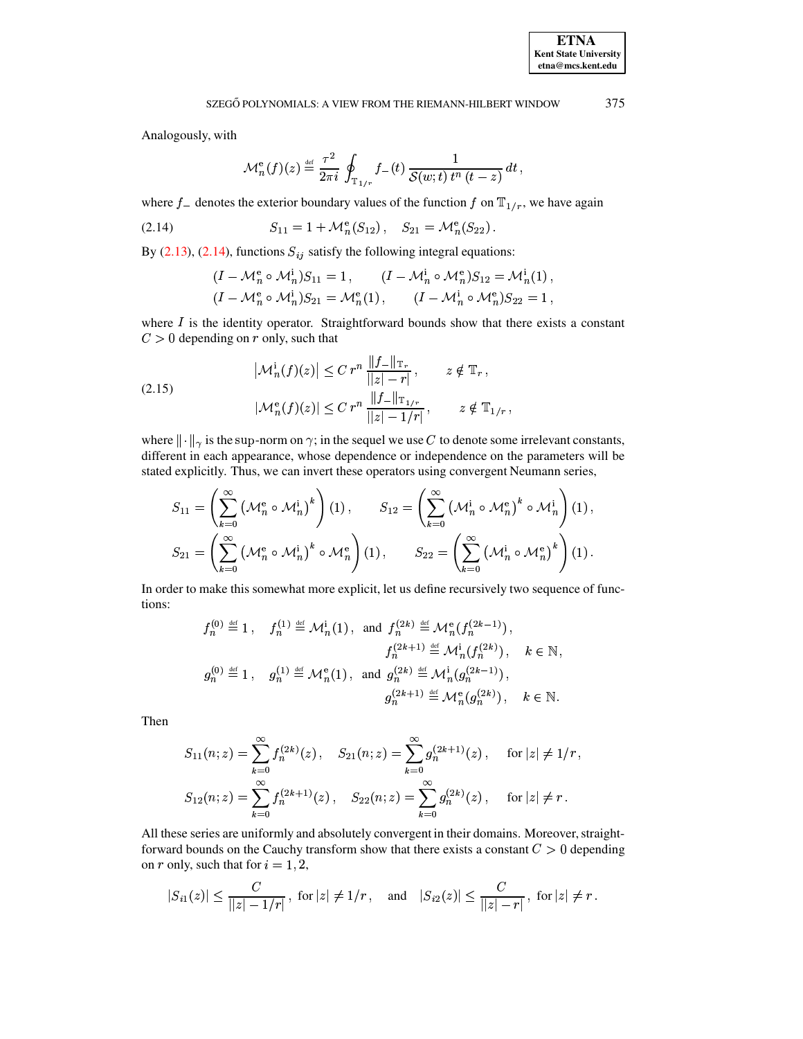Analogously, with

$$
\mathcal{M}_n^{\text{e}}(f)(z) \stackrel{\text{def}}{=} \frac{\tau^2}{2\pi i} \oint_{\mathbb{T}_{1/r}} f_-(t) \frac{1}{\mathcal{S}(w;t) t^n (t-z)} dt,
$$

where  $f_{-}$  denotes the exterior boundary values of the function f on  $\mathbb{T}_{1/r}$ , we have again

<span id="page-6-0"></span>(2.14) 
$$
S_{11} = 1 + \mathcal{M}_n^e(S_{12}), \quad S_{21} = \mathcal{M}_n^e(S_{22})
$$

By  $(2.13)$ ,  $(2.14)$ , functions  $S_{ij}$  satisfy the following integral equations:

<span id="page-6-1"></span>
$$
(I - \mathcal{M}_n^e \circ \mathcal{M}_n^i) S_{11} = 1, \qquad (I - \mathcal{M}_n^i \circ \mathcal{M}_n^e) S_{12} = \mathcal{M}_n^i(1)
$$
  

$$
(I - \mathcal{M}_n^e \circ \mathcal{M}_n^i) S_{21} = \mathcal{M}_n^e(1), \qquad (I - \mathcal{M}_n^i \circ \mathcal{M}_n^e) S_{22} = 1
$$

where  $I$  is the identity operator. Straightforward bounds show that there exists a constant  $C > 0$  depending on r only, such that

(2.15) 
$$
\left| \mathcal{M}_n^i(f)(z) \right| \leq C r^n \frac{\|f_{-}\|_{\mathbb{T}_r}}{\|z\| - r|}, \qquad z \notin \mathbb{T}_r, \n\left| \mathcal{M}_n^e(f)(z) \right| \leq C r^n \frac{\|f_{-}\|_{\mathbb{T}_{1/r}}}{\|z\| - 1/r|}, \qquad z \notin \mathbb{T}_{1/r},
$$

where  $\|\cdot\|_{\gamma}$  is the sup-norm on  $\gamma$ ; in the sequel we use C to denote some irrelevant constants, different in each appearance, whose dependence or independence on the parameters will be stated explicitly. Thus, we can invert these operators using convergent Neumann series,

$$
S_{11} = \left(\sum_{k=0}^{\infty} \left(\mathcal{M}_n^e \circ \mathcal{M}_n^i\right)^k\right) (1), \qquad S_{12} = \left(\sum_{k=0}^{\infty} \left(\mathcal{M}_n^i \circ \mathcal{M}_n^e\right)^k \circ \mathcal{M}_n^i\right) (1),
$$
  

$$
S_{21} = \left(\sum_{k=0}^{\infty} \left(\mathcal{M}_n^e \circ \mathcal{M}_n^i\right)^k \circ \mathcal{M}_n^e\right) (1), \qquad S_{22} = \left(\sum_{k=0}^{\infty} \left(\mathcal{M}_n^i \circ \mathcal{M}_n^e\right)^k\right) (1).
$$

In order to make this somewhat more explicit, let us define recursively two sequence of functions:

$$
f_n^{(0)} \stackrel{\text{def}}{=} 1, \quad f_n^{(1)} \stackrel{\text{def}}{=} \mathcal{M}_n^i(1), \text{ and } f_n^{(2k)} \stackrel{\text{def}}{=} \mathcal{M}_n^e(f_n^{(2k-1)}),
$$
  

$$
f_n^{(2k+1)} \stackrel{\text{def}}{=} \mathcal{M}_n^i(f_n^{(2k)}), \quad k \in \mathbb{N},
$$
  

$$
g_n^{(0)} \stackrel{\text{def}}{=} 1, \quad g_n^{(1)} \stackrel{\text{def}}{=} \mathcal{M}_n^e(1), \text{ and } g_n^{(2k)} \stackrel{\text{def}}{=} \mathcal{M}_n^i(g_n^{(2k-1)}),
$$
  

$$
g_n^{(2k+1)} \stackrel{\text{def}}{=} \mathcal{M}_n^e(g_n^{(2k)}), \quad k \in \mathbb{N}.
$$

Then

$$
S_{11}(n; z) = \sum_{k=0}^{\infty} f_n^{(2k)}(z), \quad S_{21}(n; z) = \sum_{k=0}^{\infty} g_n^{(2k+1)}(z), \quad \text{for } |z| \neq 1/r,
$$
  

$$
S_{12}(n; z) = \sum_{k=0}^{\infty} f_n^{(2k+1)}(z), \quad S_{22}(n; z) = \sum_{k=0}^{\infty} g_n^{(2k)}(z), \quad \text{for } |z| \neq r.
$$

All these series are uniformly and absolutely convergent in their domains. Moreover, straightforward bounds on the Cauchy transform show that there exists a constant  $C > 0$  depending on r only, such that for  $i = 1, 2$ ,

$$
|S_{i1}(z)| \leq \frac{C}{||z| - 1/r|} , \text{ for } |z| \neq 1/r \,, \quad \text{and} \quad |S_{i2}(z)| \leq \frac{C}{||z| - r|} , \text{ for } |z| \neq r \,.
$$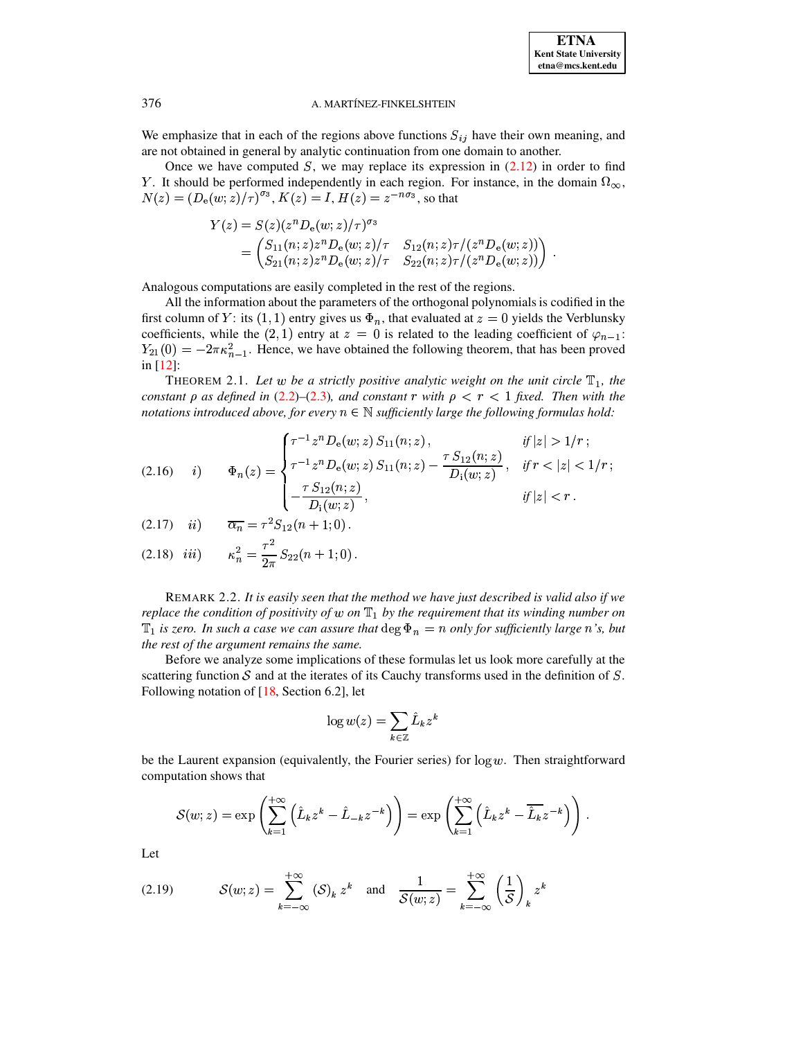We emphasize that in each of the regions above functions  $S_{ij}$  have their own meaning, and are not obtained in general by analytic continuation from one domain to another.

Once we have computed S, we may replace its expression in  $(2.12)$  in order to find Y. It should be performed independently in each region. For instance, in the domain  $\Omega_{\infty}$ ,  $N(z) = (D_e(w; z)/\tau)^{\sigma_3}$ ,  $K(z) = I$ ,  $H(z) = z^{-n\sigma_3}$ , so that

$$
Y(z) = S(z)(z^n D_e(w; z)/\tau)^{\sigma_s}
$$
  
=  $\begin{pmatrix} S_{11}(n; z) z^n D_e(w; z)/\tau & S_{12}(n; z) \tau/(z^n D_e(w; z)) \\ S_{21}(n; z) z^n D_e(w; z)/\tau & S_{22}(n; z) \tau/(z^n D_e(w; z)) \end{pmatrix}$ 

Analogous computations are easily completed in the rest of the regions.

All the information about the parameters of the orthogonal polynomials is codified in the first column of Y: its (1, 1) entry gives us  $\Phi_n$ , that evaluated at  $z = 0$  yields the Verblunsky coefficients, while the (2, 1) entry at  $z = 0$  is related to the leading coefficient of  $\varphi_{n-1}$ :  $Y_{21}(0) = -2\pi\kappa_{n-1}^2$ . Hence, we have obtained the following theorem, that has been proved in [12]:

THEOREM 2.1. Let w be a strictly positive analytic weight on the unit circle  $\mathbb{T}_1$ , the constant  $\rho$  as defined in (2.2)–(2.3), and constant r with  $\rho < r < 1$  fixed. Then with the notations introduced above, for every  $n \in \mathbb{N}$  sufficiently large the following formulas hold:

<span id="page-7-0"></span>
$$
(2.16) \quad i) \qquad \Phi_n(z) = \begin{cases} \tau^{-1} z^n D_e(w; z) \, S_{11}(n; z) \, , & \text{if } |z| > 1/r \, ; \\ \tau^{-1} z^n D_e(w; z) \, S_{11}(n; z) - \frac{\tau \, S_{12}(n; z)}{D_i(w; z)} \, , & \text{if } r < |z| < 1/r \, ; \\ -\frac{\tau \, S_{12}(n; z)}{D_i(w; z)} \, , & \text{if } |z| < r \, . \end{cases}
$$

<span id="page-7-1"></span>(2.17) *ii*) 
$$
\overline{\alpha_n} = \tau^2 S_{12}(n+1;0).
$$

<span id="page-7-3"></span>(2.18) *iii*) 
$$
\kappa_n^2 = \frac{\tau^2}{2\pi} S_{22}(n+1;0).
$$

REMARK 2.2. It is easily seen that the method we have just described is valid also if we replace the condition of positivity of w on  $\mathbb{T}_1$  by the requirement that its winding number on  $\mathbb{T}_1$  is zero. In such a case we can assure that  $\deg \Phi_n = n$  only for sufficiently large n's, but the rest of the argument remains the same.

Before we analyze some implications of these formulas let us look more carefully at the scattering function  $S$  and at the iterates of its Cauchy transforms used in the definition of  $S$ . Following notation of  $[18, Section 6.2]$ , let

$$
\log w(z) = \sum_{k \in \mathbb{Z}} \hat{L}_k z^k
$$

be the Laurent expansion (equivalently, the Fourier series) for  $\log w$ . Then straightforward computation shows that

$$
S(w; z) = \exp\left(\sum_{k=1}^{+\infty} \left(\hat{L}_k z^k - \hat{L}_{-k} z^{-k}\right)\right) = \exp\left(\sum_{k=1}^{+\infty} \left(\hat{L}_k z^k - \overline{\hat{L}_k} z^{-k}\right)\right).
$$

<span id="page-7-2"></span>Let

(2.19) 
$$
\mathcal{S}(w; z) = \sum_{k=-\infty}^{+\infty} (\mathcal{S})_k z^k \text{ and } \frac{1}{\mathcal{S}(w; z)} = \sum_{k=-\infty}^{+\infty} \left(\frac{1}{\mathcal{S}}\right)_k z^k
$$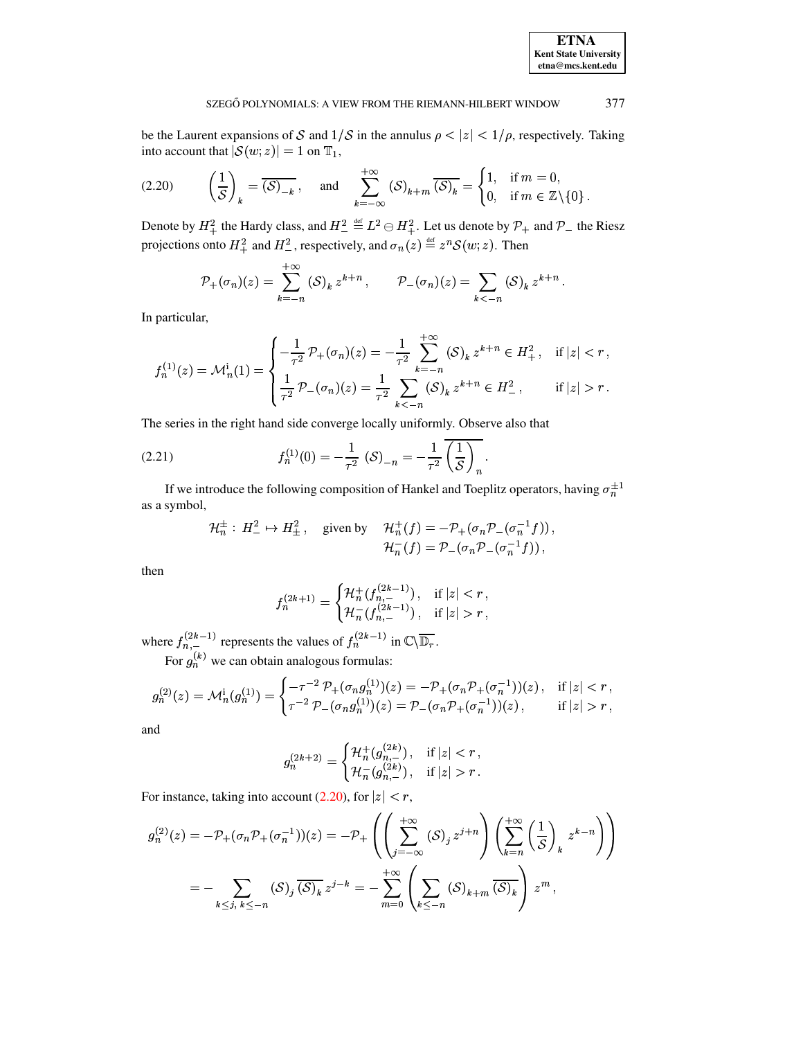# **ETNA Kent State University**  $etna@mcs. kent.edu$

#### <span id="page-8-0"></span>377 SZEGŐ POLYNOMIALS: A VIEW FROM THE RIEMANN-HILBERT WINDOW

be the Laurent expansions of S and  $1/S$  in the annulus  $\rho < |z| < 1/\rho$ , respectively. Taking into account that  $|S(w; z)| = 1$  on  $\mathbb{T}_1$ ,

$$
(2.20) \qquad \left(\frac{1}{\mathcal{S}}\right)_k = \overline{(\mathcal{S})_{-k}}, \quad \text{and} \quad \sum_{k=-\infty}^{+\infty} (\mathcal{S})_{k+m} \overline{(\mathcal{S})_k} = \begin{cases} 1, & \text{if } m = 0, \\ 0, & \text{if } m \in \mathbb{Z} \setminus \{0\} \end{cases}
$$

Denote by  $H_+^2$  the Hardy class, and  $H_-^2 \stackrel{\text{def}}{=} L^2 \ominus H_+^2$ . Let us denote by  $\mathcal{P}_+$  and  $\mathcal{P}_-$  the Riesz projections onto  $H_+^2$  and  $H_-^2$ , respectively, and  $\sigma_n(z) \stackrel{\text{def}}{=} z^n \mathcal{S}(w; z)$ . Then

$$
\mathcal{P}_{+}(\sigma_{n})(z) = \sum_{k=-n}^{+\infty} (\mathcal{S})_{k} z^{k+n}, \qquad \mathcal{P}_{-}(\sigma_{n})(z) = \sum_{k<-n} (\mathcal{S})_{k} z^{k+n}
$$

In particular,

$$
f_n^{(1)}(z) = \mathcal{M}_n^i(1) = \begin{cases} -\frac{1}{\tau^2} \mathcal{P}_+(\sigma_n)(z) = -\frac{1}{\tau^2} \sum_{k=-n}^{+\infty} (\mathcal{S})_k z^{k+n} \in H_+^2, & \text{if } |z| < r, \\ \frac{1}{\tau^2} \mathcal{P}_-(\sigma_n)(z) = \frac{1}{\tau^2} \sum_{k<-n} (\mathcal{S})_k z^{k+n} \in H_-^2, & \text{if } |z| > r. \end{cases}
$$

The series in the right hand side converge locally uniformly. Observe also that

(2.21) 
$$
f_n^{(1)}(0) = -\frac{1}{\tau^2} (\mathcal{S})_{-n} = -\frac{1}{\tau^2} \overline{\left(\frac{1}{\mathcal{S}}\right)_n}.
$$

If we introduce the following composition of Hankel and Toeplitz operators, having  $\sigma_n^{\pm 1}$ as a symbol,

$$
\mathcal{H}_n^{\pm} : H^2_- \mapsto H^2_{\pm}, \quad \text{given by} \quad \mathcal{H}_n^+(f) = -\mathcal{P}_+(\sigma_n \mathcal{P}_-(\sigma_n^{-1}f)),
$$

$$
\mathcal{H}_n^-(f) = \mathcal{P}_-(\sigma_n \mathcal{P}_-(\sigma_n^{-1}f)),
$$

then

<span id="page-8-1"></span>
$$
f_n^{(2k+1)} = \begin{cases} \mathcal{H}_n^+(f_{n,-}^{(2k-1)}) \,, & \text{if } |z| < r \,, \\ \mathcal{H}_n^-(f_{n,-}^{(2k-1)}) \,, & \text{if } |z| > r \,, \end{cases}
$$

where  $f_{n,-}^{(2k-1)}$  represents the values of  $f_{n}^{(2k-1)}$  in  $\mathbb{C}\backslash \overline{\mathbb{D}_r}$ .<br>For  $g_{n}^{(k)}$  we can obtain analogous formulas:

$$
g_n^{(2)}(z) = \mathcal{M}_n^{\rm i}(g_n^{(1)}) = \begin{cases} -\tau^{-2} \, \mathcal{P}_+(\sigma_n g_n^{(1)})(z) = -\mathcal{P}_+(\sigma_n \mathcal{P}_+(\sigma_n^{-1}))(z)\,, & \text{if}\; |z| < r\,, \\ \tau^{-2} \, \mathcal{P}_-(\sigma_n g_n^{(1)})(z) = \mathcal{P}_-(\sigma_n \mathcal{P}_+(\sigma_n^{-1}))(z)\,, & \text{if}\; |z| > r\,, \end{cases}
$$

and

$$
g_n^{(2k+2)}=\begin{cases} \mathcal{H}^+_n(g_{n,-}^{(2k)})\,, & \text{if}\; |z|r\,. \end{cases}
$$

For instance, taking into account (2.20), for  $|z| < r$ ,

$$
g_n^{(2)}(z) = -\mathcal{P}_+(\sigma_n \mathcal{P}_+(\sigma_n^{-1}))(z) = -\mathcal{P}_+\left(\left(\sum_{j=-\infty}^{+\infty} (\mathcal{S})_j z^{j+n}\right) \left(\sum_{k=n}^{+\infty} \left(\frac{1}{\mathcal{S}}\right)_k z^{k-n}\right)\right)
$$

$$
= -\sum_{k \le j, k \le -n} (\mathcal{S})_j \overline{(\mathcal{S})_k} z^{j-k} = -\sum_{m=0}^{+\infty} \left(\sum_{k \le -n} (\mathcal{S})_{k+m} \overline{(\mathcal{S})_k}\right) z^m,
$$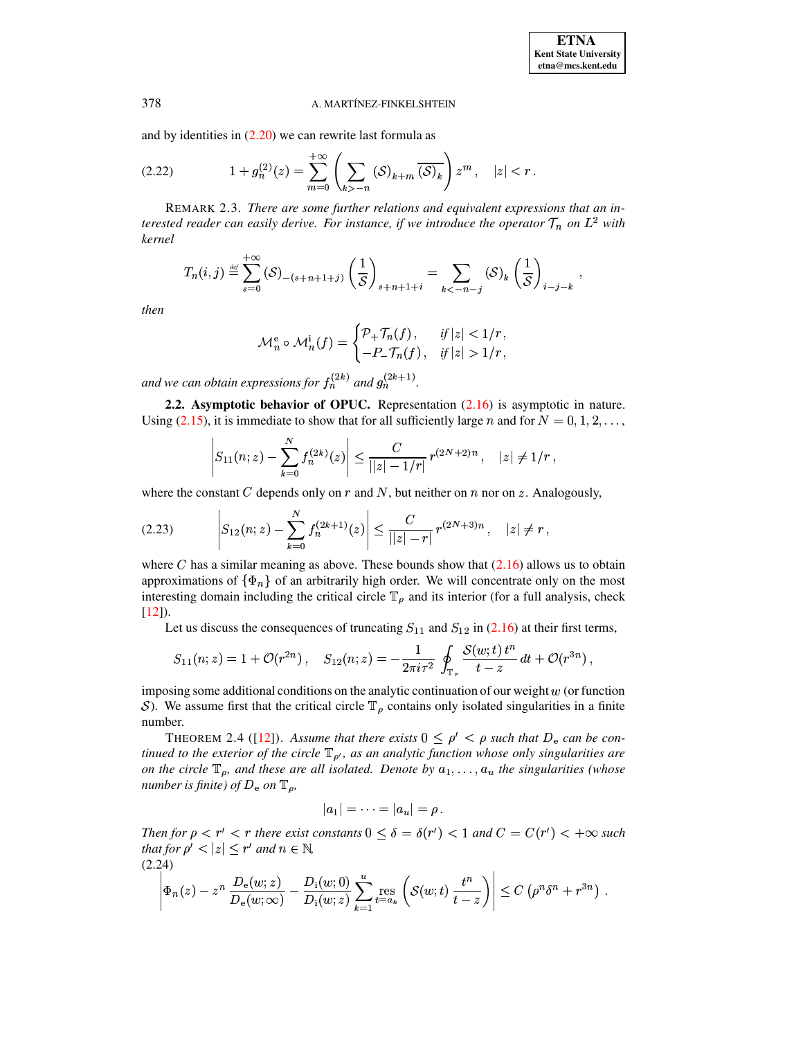<span id="page-9-3"></span>and by identities in  $(2.20)$  we can rewrite last formula as

(2.22) 
$$
1 + g_n^{(2)}(z) = \sum_{m=0}^{+\infty} \left( \sum_{k > -n} (\mathcal{S})_{k+m} \overline{(\mathcal{S})_k} \right) z^m, \quad |z| < r
$$

REMARK 2.3. There are some further relations and equivalent expressions that an interested reader can easily derive. For instance, if we introduce the operator  $\mathcal{T}_n$  on  $L^2$  with kernel

$$
T_n(i,j) \stackrel{\text{def}}{=} \sum_{s=0}^{+\infty} (\mathcal{S})_{-(s+n+1+j)} \left(\frac{1}{\mathcal{S}}\right)_{s+n+1+i} = \sum_{k<-n-j} (\mathcal{S})_k \left(\frac{1}{\mathcal{S}}\right)_{i-j-k},
$$

then

<span id="page-9-2"></span>
$$
\mathcal{M}_n^e \circ \mathcal{M}_n^i(f) = \begin{cases} \mathcal{P}_+ \mathcal{T}_n(f), & \text{if } |z| < 1/r \\ -P_- \mathcal{T}_n(f), & \text{if } |z| > 1/r \end{cases}
$$

and we can obtain expressions for  $f_n^{(2k)}$  and  $g_n^{(2k+1)}$ .

2.2. Asymptotic behavior of OPUC. Representation  $(2.16)$  is asymptotic in nature. Using (2.15), it is immediate to show that for all sufficiently large *n* and for  $N = 0, 1, 2, \ldots$ ,

$$
|S_{11}(n;z)-\sum_{k=0}^N f_n^{(2k)}(z)\Big| \leq \frac{C}{||z|-1/r|} r^{(2N+2)n}, \quad |z|\neq 1/r,
$$

where the constant C depends only on r and N, but neither on n nor on z. Analogously,

$$
(2.23) \qquad \left| S_{12}(n;z) - \sum_{k=0}^{N} f_n^{(2k+1)}(z) \right| \leq \frac{C}{||z|-r|} r^{(2N+3)n}, \quad |z| \neq r,
$$

where C has a similar meaning as above. These bounds show that  $(2.16)$  allows us to obtain approximations of  $\{\Phi_n\}$  of an arbitrarily high order. We will concentrate only on the most interesting domain including the critical circle  $\mathbb{T}_{\rho}$  and its interior (for a full analysis, check  $[12]$ ).

Let us discuss the consequences of truncating  $S_{11}$  and  $S_{12}$  in (2.16) at their first terms,

$$
S_{11}(n;z) = 1 + \mathcal{O}(r^{2n}), \quad S_{12}(n;z) = -\frac{1}{2\pi i \tau^2} \oint_{\mathbb{T}_r} \frac{\mathcal{S}(w;t) t^n}{t - z} dt + \mathcal{O}(r^{3n}),
$$

imposing some additional conditions on the analytic continuation of our weight  $w$  (or function S). We assume first that the critical circle  $\mathbb{T}_{\rho}$  contains only isolated singularities in a finite number.

<span id="page-9-1"></span>THEOREM 2.4 ([12]). Assume that there exists  $0 \le \rho' < \rho$  such that  $D_e$  can be continued to the exterior of the circle  $\mathbb{T}_{\rho'}$ , as an analytic function whose only singularities are on the circle  $\mathbb{T}_\rho$ , and these are all isolated. Denote by  $a_1, \ldots, a_u$  the singularities (whose number is finite) of  $D_e$  on  $\mathbb{T}_\rho$ ,

$$
|a_1|=\cdots=|a_u|=\rho.
$$

Then for  $\rho < r' < r$  there exist constants  $0 \le \delta = \delta(r') < 1$  and  $C = C(r') < +\infty$  such that for  $\rho' < |z| \le r'$  and  $n \in \mathbb{N}$ ,  $(2.24)$ 

<span id="page-9-0"></span>
$$
\left|\Phi_n(z)-z^n\,\frac{D_{\rm e}(w;z)}{D_{\rm e}(w;\infty)}-\frac{D_{\rm i}(w;0)}{D_{\rm i}(w;z)}\sum_{k=1}^u\underset{t=a_k}{\rm res}\left(\mathcal{S}(w;t)\,\frac{t^n}{t-z}\right)\right|\leq C\,\left(\rho^n\delta^n+r^{3n}\right)\,.
$$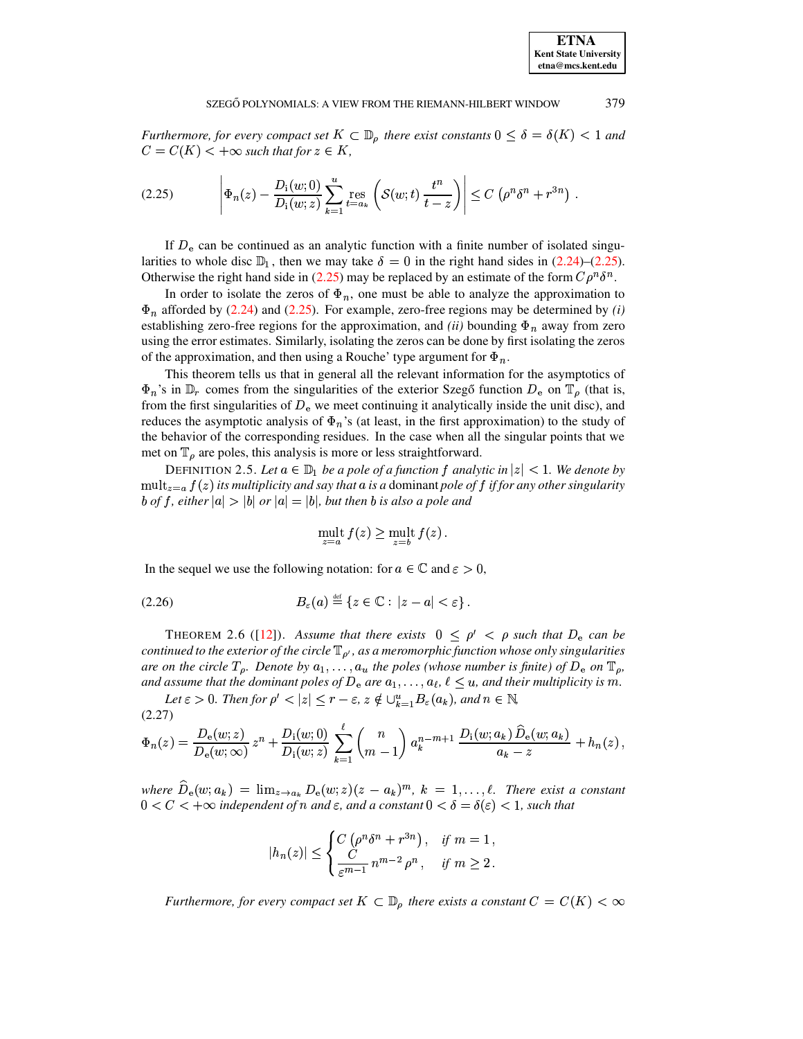<span id="page-10-0"></span>*Furthermore, for every compact set*  $K \subset \mathbb{D}_{\rho}$  *there exist constants*  $0 \leq \delta = \delta(K) < 1$  *and*  $C = C(K) < +\infty$  such that for  $z \in K$ ,

$$
(2.25) \qquad \left|\Phi_n(z) - \frac{D_i(w;0)}{D_i(w;z)} \sum_{k=1}^u \mathop{\mathrm{res}}_{t=a_k} \left( \mathcal{S}(w;t) \, \frac{t^n}{t-z} \right) \right| \leq C \left( \rho^n \delta^n + r^{3n} \right) \, .
$$

If  $D_e$  can be continued as an analytic function with a finite number of isolated singularities to whole disc  $\mathbb{D}_1$ , then we may take  $\delta = 0$  in the right hand sides in [\(2.24\)](#page-9-0)–[\(2.25\)](#page-10-0). Otherwise the right hand side in [\(2.25\)](#page-10-0) may be replaced by an estimate of the form  $C \rho^n \delta^n$ .

In order to isolate the zeros of  $\Phi_n$ , one must be able to analyze the approximation to  $\Phi_n$  afforded by [\(2.24\)](#page-9-0) and [\(2.25\)](#page-10-0). For example, zero-free regions may be determined by *(i)* establishing zero-free regions for the approximation, and *(ii)* bounding  $\Phi_n$  away from zero using the error estimates. Similarly, isolating the zeros can be done by first isolating the zeros of the approximation, and then using a Rouche' type argument for  $\Phi_n$ .

This theorem tells us that in general all the relevant information for the asymptotics of  $\Phi_n$ 's in  $\mathbb{D}_r$  comes from the singularities of the exterior Szegõ function  $D_e$  on  $\mathbb{T}_\rho$  (that is, from the first singularities of  $D_e$  we meet continuing it analytically inside the unit disc), and reduces the asymptotic analysis of  $\Phi_n$ 's (at least, in the first approximation) to the study of the behavior of the corresponding residues. In the case when all the singular points that we met on  $\mathbb{T}_{\rho}$  are poles, this analysis is more or less straightforward.

DEFINITION 2.5. Let  $a \in \mathbb{D}_1$  be a pole of a function f analytic in  $|z| < 1$ . We denote by  $\mathrm{ult}_{z=a} f(z)$  *its multiplicity and say that a is a dominant pole of*  $f$  *if for any other singularity* <sup>0</sup> *of* ©*, either* % <sup>0</sup> *or* % <sup>0</sup> *, but then* <sup>0</sup> *is also a pole and*

<span id="page-10-3"></span><span id="page-10-1"></span>
$$
\operatorname{mult}_{z=a} f(z) \ge \operatorname{mult}_{z=b} f(z).
$$

In the sequel we use the following notation: for  $a \in \mathbb{C}$  and  $\varepsilon > 0$ ,

$$
(2.26) \t\t B_{\varepsilon}(a) \stackrel{\text{def}}{=} \{z \in \mathbb{C} : |z - a| < \varepsilon\}.
$$

<span id="page-10-2"></span>**THEOREM 2.6 ([\[12\]](#page-23-6)).** Assume that there exists  $0 \le \rho' < \rho$  such that  $D_e$  can be *continued to the exterior of the circle*  $\mathbb{T}_{\rho'}$ , *as a meromorphic function whose only singularities are on* the circle  $T_p$ . Denote by  $a_1, \ldots, a_u$  the poles (whose number is finite) of  $D_e$  on  $\mathbb{T}_p$ , *and assume that the dominant poles of*  $D_e$  *are*  $a_1, \ldots, a_\ell, \ell \leq u$ *, and their multiplicity is* m.

Let  $\varepsilon > 0$ . Then for  $\rho' < |z| \leq r - \varepsilon$ ,  $z \notin \bigcup_{k=1}^{u} B_{\varepsilon}(a_k)$ , and  $n \in \mathbb{N}$ , (2.27)

$$
\Phi_n(z) = \frac{D_e(w; z)}{D_e(w; \infty)} z^n + \frac{D_i(w; 0)}{D_i(w; z)} \sum_{k=1}^{\ell} {n \choose m-1} a_k^{n-m+1} \frac{D_i(w; a_k) \widehat{D}_e(w; a_k)}{a_k - z} + h_n(z),
$$

 $where \ \hat{D}_e(w; a_k) = \lim_{z \to a_k} D_e(w; z)(z - a_k)^m$ ,  $k = 1, \ldots, \ell$ . There exist a constant  $0 < C < +\infty$  *independent of*  $n$  *and*  $\varepsilon$ *, and a constant*  $0 < \delta = \delta(\varepsilon) < 1$ *, such that* 

$$
|h_n(z)| \le \begin{cases} C(\rho^n \delta^n + r^{3n}), & \text{if } m = 1, \\ \frac{C}{\varepsilon^{m-1}} n^{m-2} \rho^n, & \text{if } m \ge 2. \end{cases}
$$

Furthermore, for every compact set  $K \subset \mathbb{D}_{\rho}$  there exists a constant  $C = C(K) < \infty$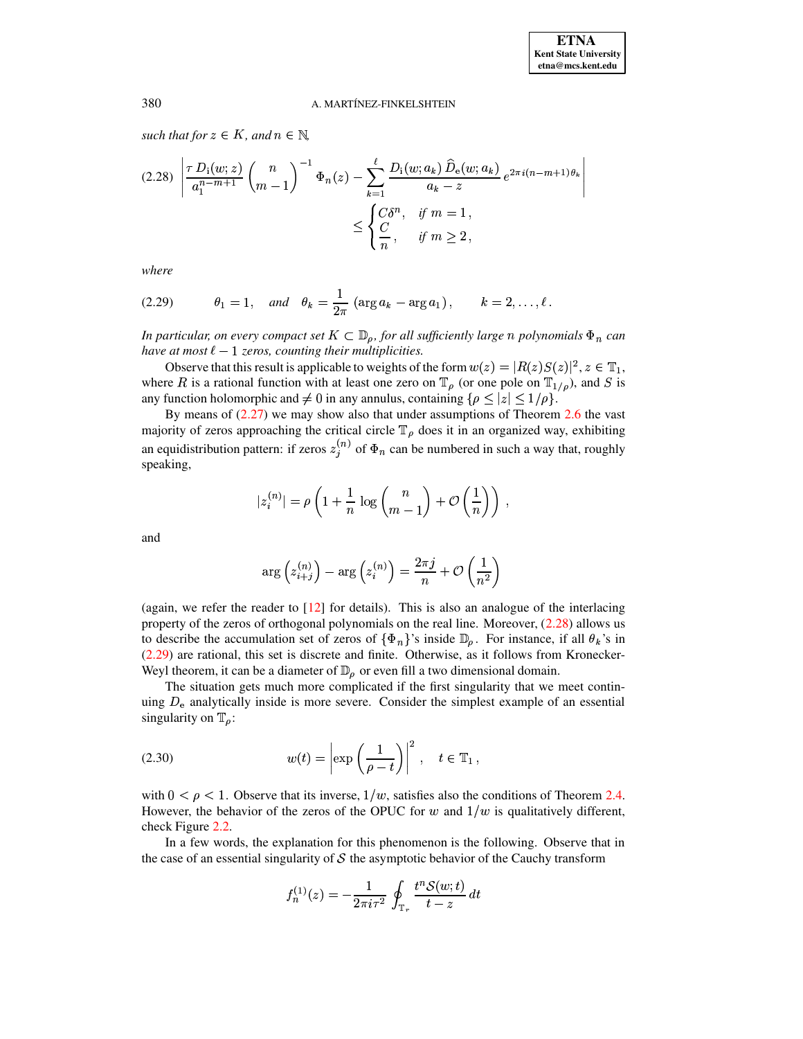such that for  $z \in K$ , and  $n \in \mathbb{N}$ ,

<span id="page-11-0"></span>
$$
(2.28) \left| \frac{\tau D_i(w; z)}{a_1^{n-m+1}} \binom{n}{m-1}^{-1} \Phi_n(z) - \sum_{k=1}^{\ell} \frac{D_i(w; a_k) \, \widehat{D}_e(w; a_k)}{a_k - z} \, e^{2\pi i (n-m+1)\theta_k} \right|
$$
\n
$$
\leq \begin{cases} C \delta^n, & \text{if } m = 1, \\ \frac{C}{n}, & \text{if } m \geq 2, \end{cases}
$$

<span id="page-11-1"></span>where

(2.29) 
$$
\theta_1 = 1
$$
, and  $\theta_k = \frac{1}{2\pi} (\arg a_k - \arg a_1)$ ,  $k = 2, ..., \ell$ 

In particular, on every compact set  $K \subset \mathbb{D}_{\rho}$ , for all sufficiently large n polynomials  $\Phi_n$  can have at most  $\ell - 1$  zeros, counting their multiplicities.

Observe that this result is applicable to weights of the form  $w(z) = |R(z)S(z)|^2$ ,  $z \in \mathbb{T}_1$ , where R is a rational function with at least one zero on  $\mathbb{T}_{\rho}$  (or one pole on  $\mathbb{T}_{1/\rho}$ ), and S is any function holomorphic and  $\neq 0$  in any annulus, containing  $\{\rho \leq |z| \leq 1/\rho\}$ .

By means of  $(2.27)$  we may show also that under assumptions of Theorem 2.6 the vast majority of zeros approaching the critical circle  $\mathbb{T}_{\rho}$  does it in an organized way, exhibiting an equidistribution pattern: if zeros  $z_i^{(n)}$  of  $\Phi_n$  can be numbered in such a way that, roughly speaking.

$$
|z_i^{(n)}| = \rho \left( 1 + \frac{1}{n} \log \binom{n}{m-1} + \mathcal{O} \left( \frac{1}{n} \right) \right),
$$

and

$$
\arg\left(z_{i+j}^{(n)}\right) - \arg\left(z_i^{(n)}\right) = \frac{2\pi j}{n} + \mathcal{O}\left(\frac{1}{n^2}\right)
$$

(again, we refer the reader to  $[12]$  for details). This is also an analogue of the interlacing property of the zeros of orthogonal polynomials on the real line. Moreover,  $(2.28)$  allows us to describe the accumulation set of zeros of  $\{\Phi_n\}$ 's inside  $\mathbb{D}_{\rho}$ . For instance, if all  $\theta_k$ 's in  $(2.29)$  are rational, this set is discrete and finite. Otherwise, as it follows from Kronecker-Weyl theorem, it can be a diameter of  $\mathbb{D}_{\rho}$  or even fill a two dimensional domain.

<span id="page-11-2"></span>The situation gets much more complicated if the first singularity that we meet continuing  $D_e$  analytically inside is more severe. Consider the simplest example of an essential singularity on  $\mathbb{T}_{\rho}$ :

(2.30) 
$$
w(t) = \left| \exp\left(\frac{1}{\rho - t}\right) \right|^2, \quad t \in \mathbb{T}_1,
$$

with  $0 < \rho < 1$ . Observe that its inverse,  $1/w$ , satisfies also the conditions of Theorem 2.4. However, the behavior of the zeros of the OPUC for w and  $1/w$  is qualitatively different, check Figure 2.2.

In a few words, the explanation for this phenomenon is the following. Observe that in the case of an essential singularity of  $S$  the asymptotic behavior of the Cauchy transform

$$
f_n^{(1)}(z) = -\frac{1}{2\pi i \tau^2} \oint_{\mathbb{T}_r} \frac{t^n S(w;t)}{t - z} dt
$$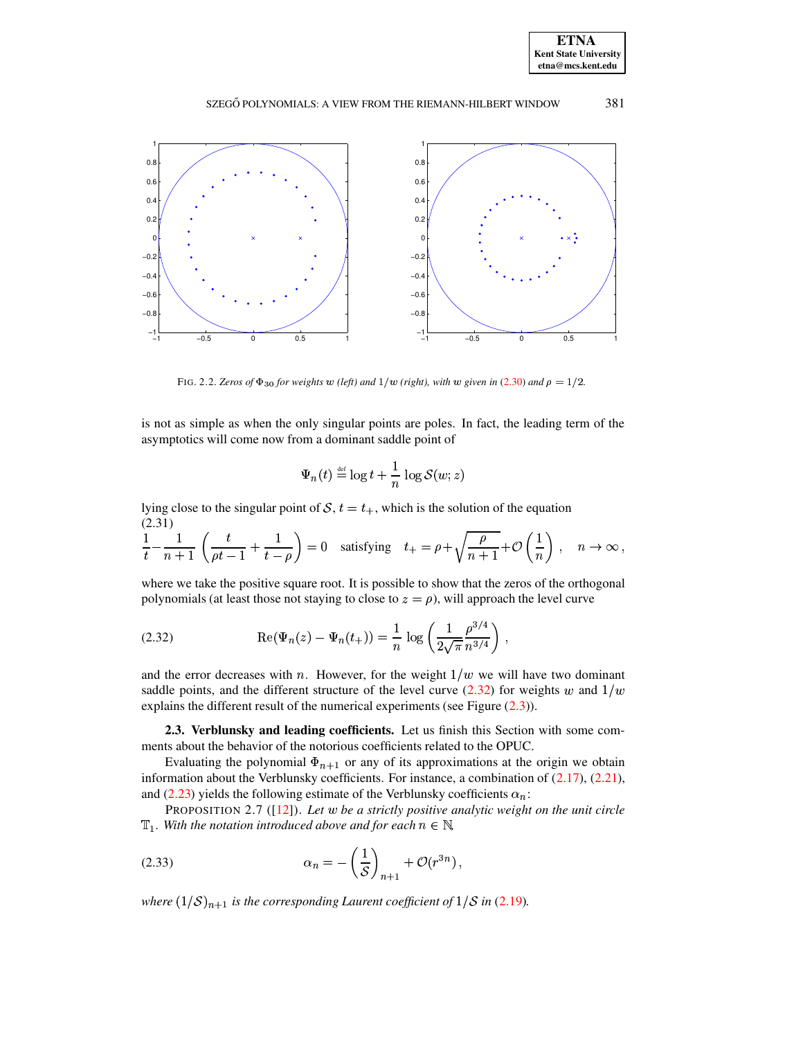**ETNA Kent State University etna@mcs.kent.edu**



FIG. 2.2. *Zeros of*  $\Phi_{30}$  *for weights*  $w$  *(left) and*  $1/w$  *(right), with*  $w$  *given in* [\(2.30\)](#page-11-2) *and*  $\rho = 1/2$ .

<span id="page-12-0"></span>is not as simple as when the only singular points are poles. In fact, the leading term of the asymptotics will come now from a dominant saddle point of

<span id="page-12-2"></span><span id="page-12-1"></span>
$$
\Psi_n(t) \stackrel{\scriptscriptstyle\rm def}{=} \log t + \frac{1}{n}\,\log \mathcal{S}(w;z)
$$

lying close to the singular point of  $S, t = t_+$ , which is the solution of the equation (2.31)

$$
\frac{1}{t} - \frac{1}{n+1} \left( \frac{t}{\rho t - 1} + \frac{1}{t - \rho} \right) = 0 \quad \text{satisfying} \quad t_+ = \rho + \sqrt{\frac{\rho}{n+1}} + \mathcal{O}\left(\frac{1}{n}\right) \,, \quad n \to \infty \,,
$$

where we take the positive square root. It is possible to show that the zeros of the orthogonal polynomials (at least those not staying to close to  $z = \rho$ ), will approach the level curve

(2.32) 
$$
\operatorname{Re}(\Psi_n(z) - \Psi_n(t_+)) = \frac{1}{n} \log \left( \frac{1}{2\sqrt{\pi}} \frac{\rho^{3/4}}{n^{3/4}} \right),
$$

and the error decreases with  $n$ . However, for the weight  $1/w$  we will have two dominant saddle points, and the different structure of the level curve [\(2.32\)](#page-12-1) for weights w and  $1/w$ explains the different result of the numerical experiments (see Figure  $(2.3)$ ).

**2.3. Verblunsky and leading coefficients.** Let us finish this Section with some comments about the behavior of the notorious coefficients related to the OPUC.

Evaluating the polynomial  $\Phi_{n+1}$  or any of its approximations at the origin we obtain information about the Verblunsky coefficients. For instance, a combination of [\(2.17\)](#page-7-1), [\(2.21\)](#page-8-1), and [\(2.23\)](#page-9-2) yields the following estimate of the Verblunsky coefficients  $\alpha_n$ :

<span id="page-12-3"></span>PROPOSITION 2.7 ([\[12\]](#page-23-6)). *Let* ( *be a strictly positive analytic weight on the unit circle*  $\mathbb{T}_1$ *. With the notation introduced above and for each*  $n \in \mathbb{N}$ *,* 

$$
(2.33) \qquad \alpha_n = -\left(\frac{1}{S}\right)_{n+1} + \mathcal{O}(r^{3n}),
$$

*where*  $(1/S)_{n+1}$  *is the corresponding Laurent coefficient of*  $1/S$  *in* [\(2.19\)](#page-7-2)*.*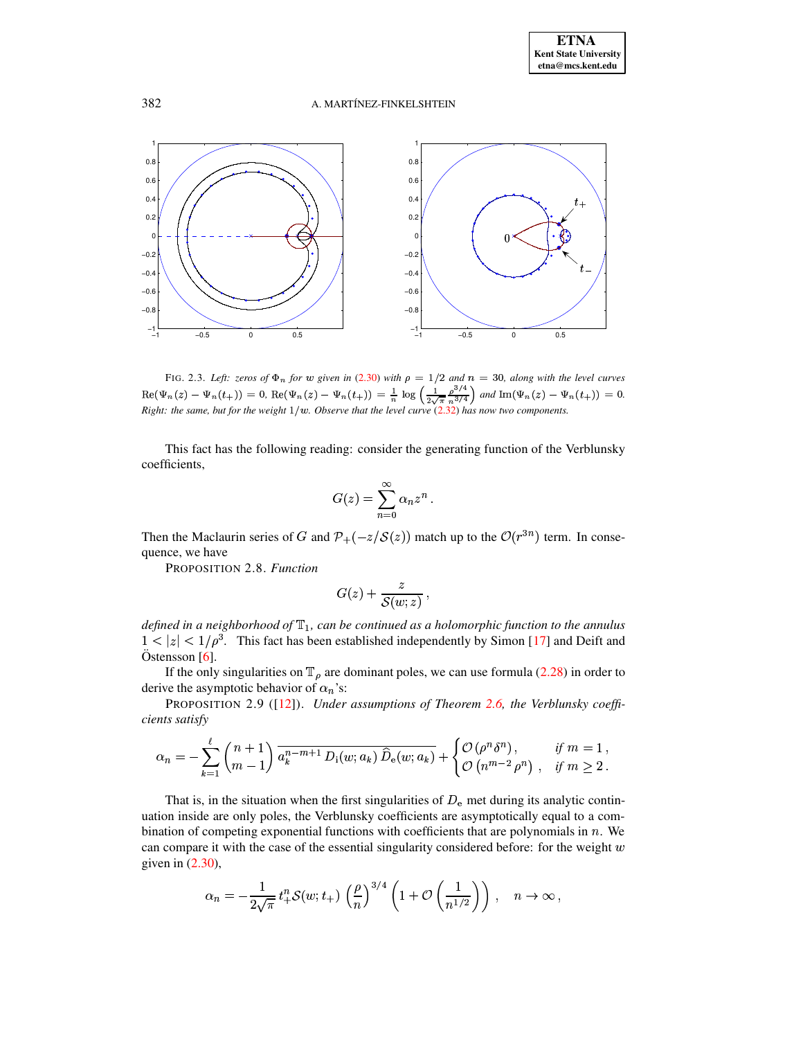

<span id="page-13-0"></span>FIG. 2.3. Left: zeros of  $\Phi_n$  for w given in (2.30) with  $\rho = 1/2$  and  $n = 30$ , along with the level curves  $\text{Re}(\Psi_n(z) - \Psi_n(t_+)) = 0$ ,  $\text{Re}(\Psi_n(z) - \Psi_n(t_+)) = \frac{1}{n} \log \left( \frac{1}{2\sqrt{\pi}} \frac{\rho^{3/4}}{n^{3/4}} \right)$  and  $\text{Im}(\Psi_n(z) - \Psi_n(t_+)) = 0$ .<br>
Right: the same, but for the weight 1/w. Observe that the level curve (2.32) has now two components.

This fact has the following reading: consider the generating function of the Verblunsky coefficients.

$$
G(z) = \sum_{n=0}^{\infty} \alpha_n z^n
$$

Then the Maclaurin series of G and  $\mathcal{P}_+(-z/S(z))$  match up to the  $\mathcal{O}(r^{3n})$  term. In consequence, we have

PROPOSITION 2.8. Function

$$
G(z)+\frac{z}{\mathcal{S}(w;z)},
$$

defined in a neighborhood of  $\mathbb{T}_1$ , can be continued as a holomorphic function to the annulus  $1 < |z| < 1/\rho^3$ . This fact has been established independently by Simon [17] and Deift and Östensson  $[6]$ .

If the only singularities on  $\mathbb{T}_{\rho}$  are dominant poles, we can use formula (2.28) in order to derive the asymptotic behavior of  $\alpha_n$ 's:

PROPOSITION 2.9 ([12]). Under assumptions of Theorem 2.6, the Verblunsky coefficients satisfy

$$
\alpha_n = -\sum_{k=1}^{\ell} \binom{n+1}{m-1} \overline{a_k^{n-m+1} D_i(w; a_k) \widehat{D}_e(w; a_k)} + \begin{cases} \mathcal{O}\left(\rho^n \delta^n\right), & \text{if } m=1, \\ \mathcal{O}\left(n^{m-2} \rho^n\right), & \text{if } m \ge 2. \end{cases}
$$

That is, in the situation when the first singularities of  $D_e$  met during its analytic continuation inside are only poles, the Verblunsky coefficients are asymptotically equal to a combination of competing exponential functions with coefficients that are polynomials in  $n$ . We can compare it with the case of the essential singularity considered before: for the weight  $w$ given in  $(2.30)$ ,

$$
\alpha_n = -\frac{1}{2\sqrt{\pi}} t_+^n \mathcal{S}(w; t_+) \left(\frac{\rho}{n}\right)^{3/4} \left(1 + \mathcal{O}\left(\frac{1}{n^{1/2}}\right)\right), \quad n \to \infty,
$$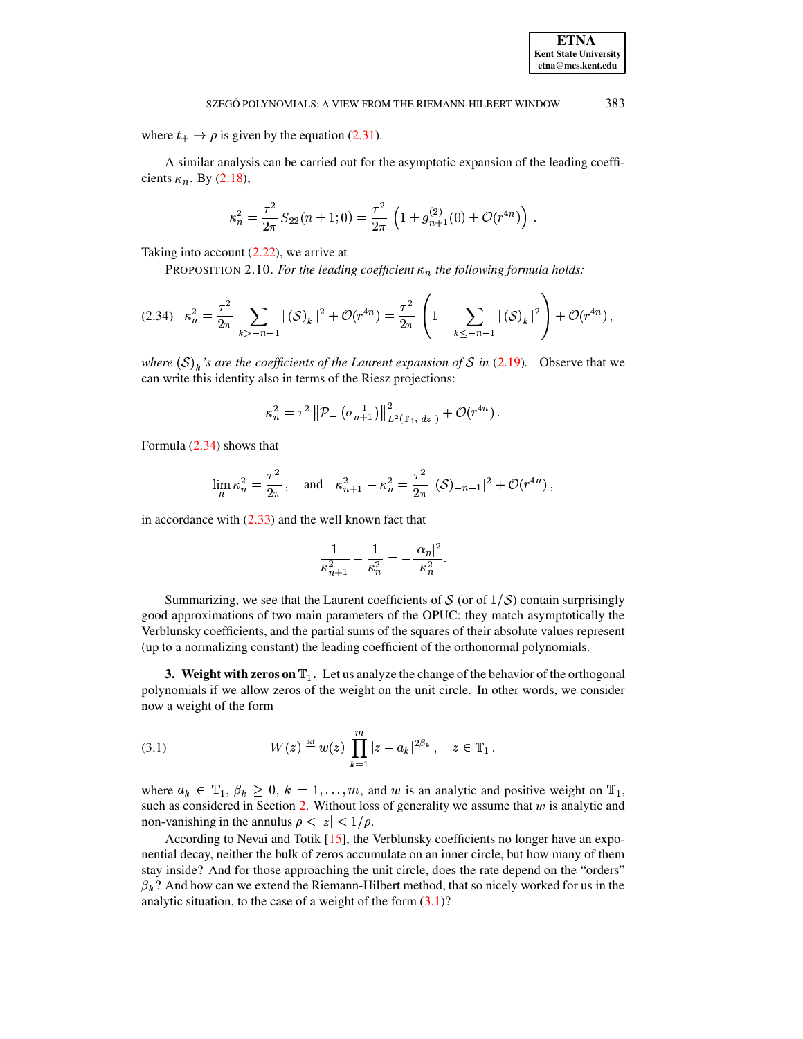where  $t_+ \rightarrow \rho$  is given by the equation (2.31).

A similar analysis can be carried out for the asymptotic expansion of the leading coefficients  $\kappa_n$ . By (2.18),

$$
\kappa_n^2 = \frac{\tau^2}{2\pi} S_{22}(n+1;0) = \frac{\tau^2}{2\pi} \left( 1 + g_{n+1}^{(2)}(0) + \mathcal{O}(r^{4n}) \right).
$$

Taking into account  $(2.22)$ , we arrive at

PROPOSITION 2.10. For the leading coefficient  $\kappa_n$  the following formula holds:

$$
(2.34) \kappa_n^2 = \frac{\tau^2}{2\pi} \sum_{k > -n-1} |\langle S \rangle_k|^2 + \mathcal{O}(r^{4n}) = \frac{\tau^2}{2\pi} \left( 1 - \sum_{k \le -n-1} |\langle S \rangle_k|^2 \right) + \mathcal{O}(r^{4n}),
$$

where  $(S)_k$ 's are the coefficients of the Laurent expansion of S in (2.19). Observe that we can write this identity also in terms of the Riesz projections:

$$
\kappa_n^2 = \tau^2 \left\| \mathcal{P}_-\left( \sigma_{n+1}^{-1} \right) \right\|_{L^2(\mathbb{T}_1, |dz|)}^2 + \mathcal{O}(r^{4n}).
$$

Formula (2.34) shows that

$$
\lim_{n} \kappa_n^2 = \frac{\tau^2}{2\pi}, \quad \text{and} \quad \kappa_{n+1}^2 - \kappa_n^2 = \frac{\tau^2}{2\pi} |(\mathcal{S})_{-n-1}|^2 + \mathcal{O}(r^{4n})
$$

in accordance with  $(2.33)$  and the well known fact that

$$
\frac{1}{\kappa_{n+1}^2} - \frac{1}{\kappa_n^2} = -\frac{|\alpha_n|^2}{\kappa_n^2}.
$$

Summarizing, we see that the Laurent coefficients of S (or of  $1/S$ ) contain surprisingly good approximations of two main parameters of the OPUC: they match asymptotically the Verblunsky coefficients, and the partial sums of the squares of their absolute values represent (up to a normalizing constant) the leading coefficient of the orthonormal polynomials.

<span id="page-14-0"></span>**3.** Weight with zeros on  $\mathbb{T}_1$ . Let us analyze the change of the behavior of the orthogonal polynomials if we allow zeros of the weight on the unit circle. In other words, we consider now a weight of the form

<span id="page-14-2"></span>(3.1) 
$$
W(z) \stackrel{\text{def}}{=} w(z) \prod_{k=1}^{m} |z - a_k|^{2\beta_k}, \quad z \in \mathbb{T}_1,
$$

where  $a_k \in \mathbb{T}_1$ ,  $\beta_k \geq 0$ ,  $k = 1, ..., m$ , and w is an analytic and positive weight on  $\mathbb{T}_1$ , such as considered in Section 2. Without loss of generality we assume that  $w$  is analytic and non-vanishing in the annulus  $\rho < |z| < 1/\rho$ .

According to Nevai and Totik [15], the Verblunsky coefficients no longer have an exponential decay, neither the bulk of zeros accumulate on an inner circle, but how many of them stay inside? And for those approaching the unit circle, does the rate depend on the "orders"  $\beta_k$ ? And how can we extend the Riemann-Hilbert method, that so nicely worked for us in the analytic situation, to the case of a weight of the form  $(3.1)$ ?

<span id="page-14-1"></span>383

**ETNA Kent State University**  $etna@mcs. kent.edu$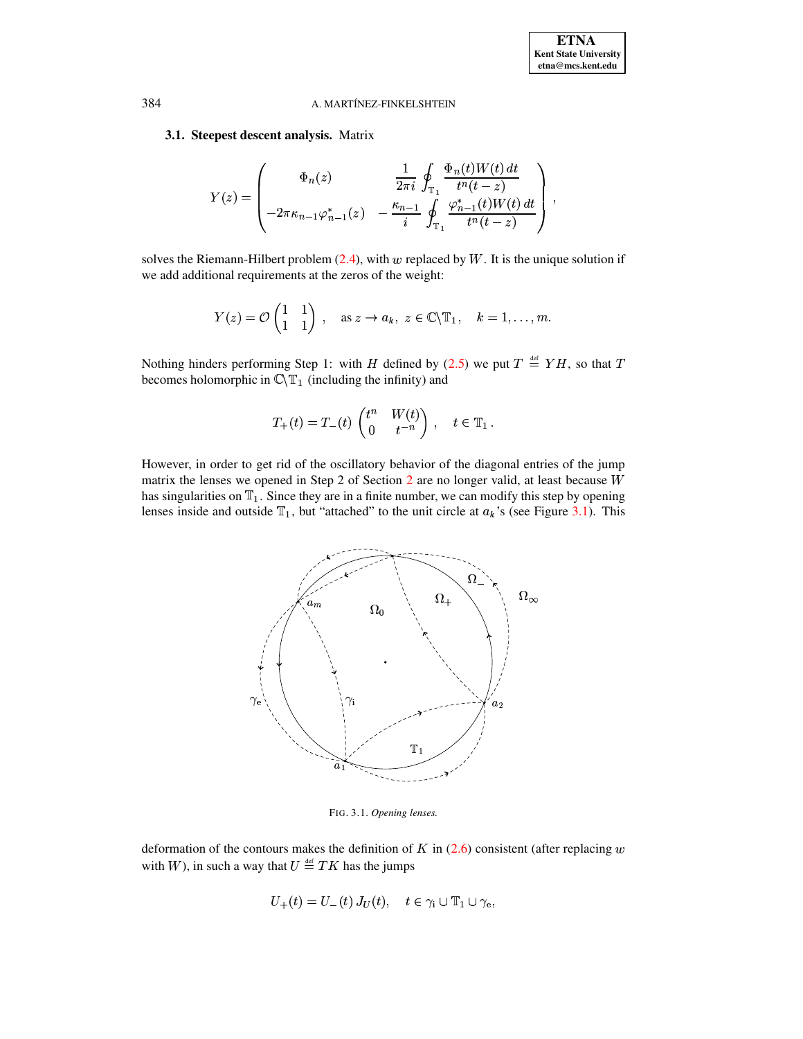# 3.1. Steepest descent analysis. Matrix

$$
Y(z) = \begin{pmatrix} \Phi_n(z) & \frac{1}{2\pi i} \oint_{\mathbb{T}_1} \frac{\Phi_n(t)W(t) dt}{t^n(t-z)} \\ -2\pi \kappa_{n-1} \varphi_{n-1}^*(z) & -\frac{\kappa_{n-1}}{i} \oint_{\mathbb{T}_1} \frac{\varphi_{n-1}^*(t)W(t) dt}{t^n(t-z)} \end{pmatrix},
$$

solves the Riemann-Hilbert problem  $(2.4)$ , with w replaced by W. It is the unique solution if we add additional requirements at the zeros of the weight:

$$
Y(z) = \mathcal{O}\begin{pmatrix} 1 & 1 \\ 1 & 1 \end{pmatrix}
$$
, as  $z \to a_k$ ,  $z \in \mathbb{C} \setminus \mathbb{T}_1$ ,  $k = 1, ..., m$ 

Nothing hinders performing Step 1: with H defined by (2.5) we put  $T \stackrel{\text{def}}{=} YH$ , so that T becomes holomorphic in  $\mathbb{C}\backslash \mathbb{T}_1$  (including the infinity) and

$$
T_+(t) = T_-(t) \begin{pmatrix} t^n & W(t) \\ 0 & t^{-n} \end{pmatrix}, \quad t \in \mathbb{T}_1
$$

However, in order to get rid of the oscillatory behavior of the diagonal entries of the jump matrix the lenses we opened in Step 2 of Section  $2$  are no longer valid, at least because W has singularities on  $T_1$ . Since they are in a finite number, we can modify this step by opening lenses inside and outside  $T_1$ , but "attached" to the unit circle at  $a_k$ 's (see Figure 3.1). This



<span id="page-15-0"></span>FIG. 3.1. Opening lenses.

deformation of the contours makes the definition of  $K$  in  $(2.6)$  consistent (after replacing  $w$ with W), in such a way that  $U \stackrel{\text{def}}{=} TK$  has the jumps

$$
U_{+}(t) = U_{-}(t) J_{U}(t), \quad t \in \gamma_{i} \cup \mathbb{T}_{1} \cup \gamma_{e},
$$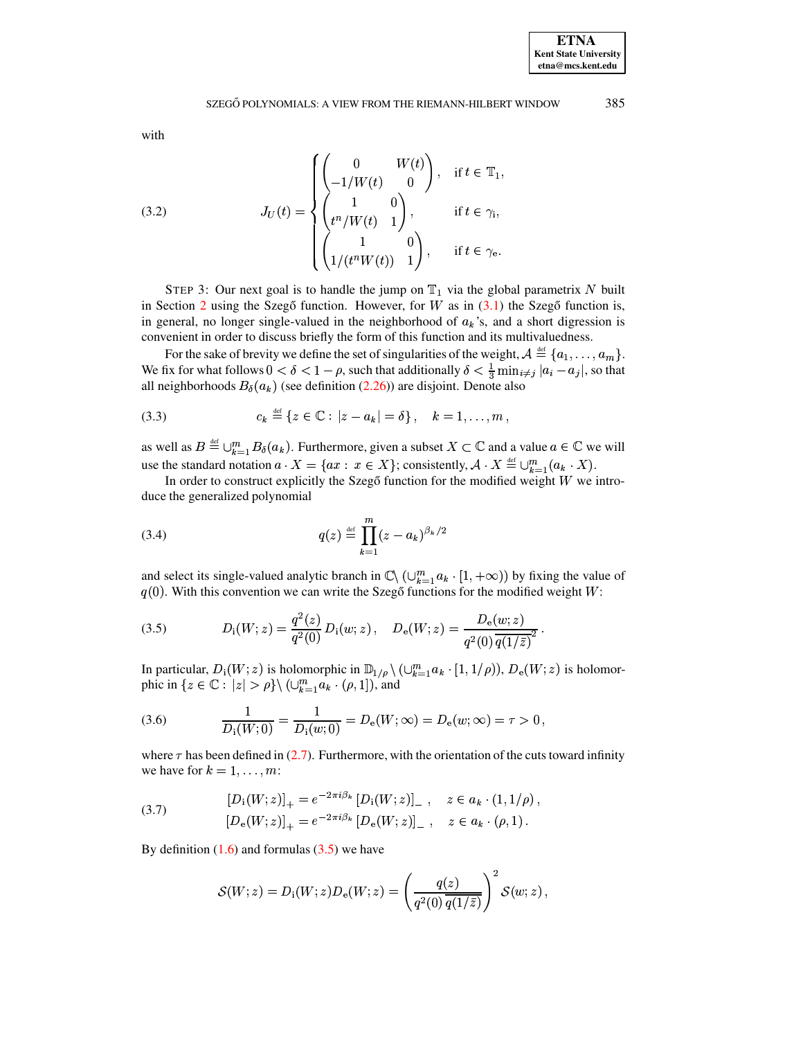<span id="page-16-2"></span><span id="page-16-0"></span> $\ddot{\phantom{a}}$ 

<span id="page-16-3"></span>with

(3.2) 
$$
J_U(t) = \begin{cases} \begin{pmatrix} 0 & W(t) \\ -1/W(t) & 0 \end{pmatrix}, & \text{if } t \in \mathbb{T}_1 \\ \begin{pmatrix} 1 & 0 \\ t^n/W(t) & 1 \end{pmatrix}, & \text{if } t \in \gamma_i, \\ \begin{pmatrix} 1 & 0 \\ 1/(t^nW(t)) & 1 \end{pmatrix}, & \text{if } t \in \gamma_e. \end{cases}
$$

STEP 3: Our next goal is to handle the jump on  $T_1$  via the global parametrix N built in Section 2 using the Szegő function. However, for W as in  $(3.1)$  the Szegő function is, in general, no longer single-valued in the neighborhood of  $a_k$ 's, and a short digression is convenient in order to discuss briefly the form of this function and its multivaluedness.

For the sake of brevity we define the set of singularities of the weight,  $A \stackrel{\text{def}}{=} \{a_1, \ldots, a_m\}.$ We fix for what follows  $0 < \delta < 1 - \rho$ , such that additionally  $\delta < \frac{1}{3} \min_{i \neq j} |a_i - a_j|$ , so that all neighborhoods  $B_{\delta}(a_k)$  (see definition (2.26)) are disjoint. Denote also

(3.3) 
$$
c_k \stackrel{\text{def}}{=} \{z \in \mathbb{C} : |z - a_k| = \delta\}, \quad k = 1, ..., m,
$$

as well as  $B \stackrel{\text{def}}{=} \bigcup_{k=1}^m B_\delta(a_k)$ . Furthermore, given a subset  $X \subset \mathbb{C}$  and a value  $a \in \mathbb{C}$  we will use the standard notation  $a \cdot X = \{ax : x \in X\}$ ; consistently,  $A \cdot X \stackrel{\text{def}}{=} \bigcup_{k=1}^{m} (a_k \cdot X)$ .

<span id="page-16-4"></span>In order to construct explicitly the Szegő function for the modified weight  $W$  we introduce the generalized polynomial

(3.4) 
$$
q(z) \stackrel{\text{def}}{=} \prod_{k=1}^{m} (z - a_k)^{\beta_k/2}
$$

and select its single-valued analytic branch in  $\mathbb{C}\setminus (\cup_{k=1}^m a_k \cdot [1, +\infty))$  by fixing the value of  $q(0)$ . With this convention we can write the Szegő functions for the modified weight W:

(3.5) 
$$
D_i(W; z) = \frac{q^2(z)}{q^2(0)} D_i(w; z), \quad D_e(W; z) = \frac{D_e(w; z)}{q^2(0) \overline{q(1/\bar{z})^2}}
$$

In particular,  $D_i(W; z)$  is holomorphic in  $\mathbb{D}_{1/\rho} \setminus (\cup_{k=1}^m a_k \cdot [1, 1/\rho)), D_e(W; z)$  is holomorphic in  $\{z \in \mathbb{C} : |z| > \rho\} \setminus (\cup_{k=1}^m a_k \cdot (\rho, 1]),$  and

<span id="page-16-1"></span>(3.6) 
$$
\frac{1}{D_i(W;0)} = \frac{1}{D_i(w;0)} = D_e(W;\infty) = D_e(w;\infty) = \tau > 0,
$$

<span id="page-16-5"></span>where  $\tau$  has been defined in (2.7). Furthermore, with the orientation of the cuts toward infinity we have for  $k = 1, \ldots, m$ :

(3.7) 
$$
[D_i(W; z)]_+ = e^{-2\pi i \beta_k} [D_i(W; z)]_-, \quad z \in a_k \cdot (1, 1/\rho),
$$

$$
[D_e(W; z)]_+ = e^{-2\pi i \beta_k} [D_e(W; z)]_-, \quad z \in a_k \cdot (\rho, 1).
$$

By definition  $(1.6)$  and formulas  $(3.5)$  we have

$$
\mathcal{S}(W;z) = D_{\rm i}(W;z)D_{\rm e}(W;z) = \left(\frac{q(z)}{q^2(0)\,\overline{q(1/\bar z)}}\right)^2\mathcal{S}(w;z)\,,
$$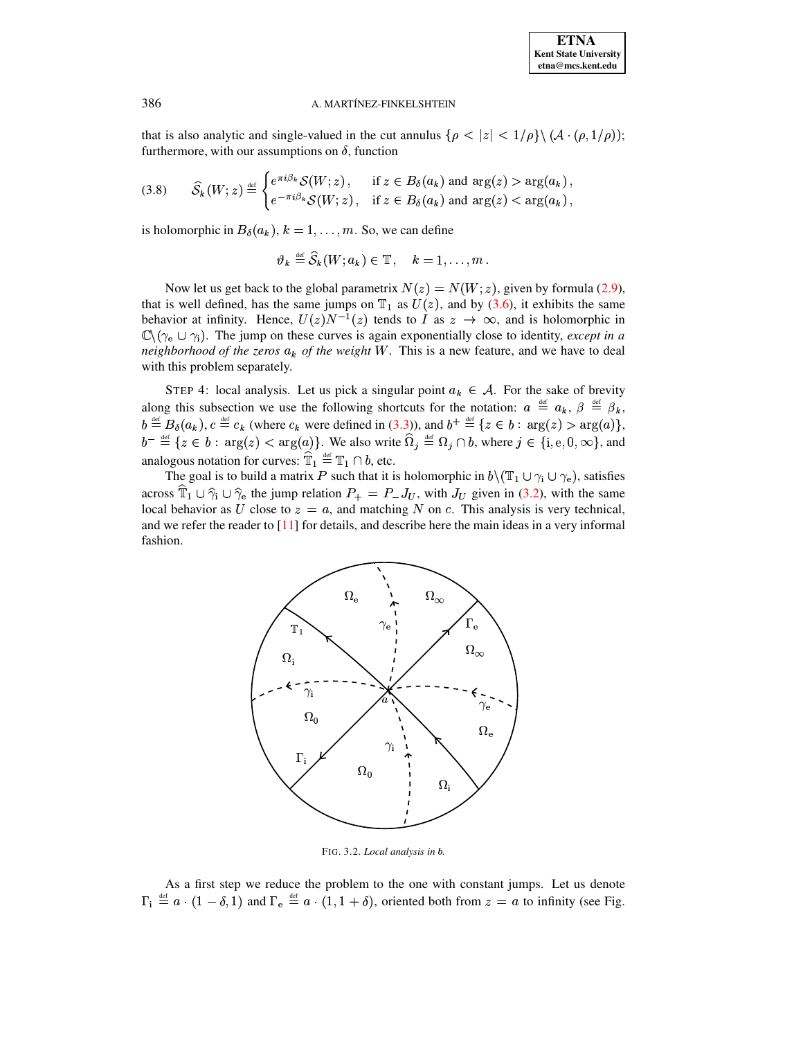that is also analytic and single-valued in the cut annulus  $\{\rho < |z| < 1/\rho\} \setminus (\mathcal{A} \cdot (\rho, 1/\rho));$ furthermore, with our assumptions on  $\delta$ , function

$$
(3.8) \qquad \widehat{\mathcal{S}}_k(W; z) \stackrel{\text{def}}{=} \begin{cases} e^{\pi i \beta_k} \mathcal{S}(W; z) \,, & \text{if } z \in B_\delta(a_k) \text{ and } \arg(z) > \arg(a_k) \,, \\ e^{-\pi i \beta_k} \mathcal{S}(W; z) \,, & \text{if } z \in B_\delta(a_k) \text{ and } \arg(z) < \arg(a_k) \,, \end{cases}
$$

is holomorphic in  $B_{\delta}(a_k)$ ,  $k = 1, ..., m$ . So, we can define

<span id="page-17-1"></span>
$$
\vartheta_k \stackrel{\text{def}}{=} \widehat{\mathcal{S}}_k(W; a_k) \in \mathbb{T}, \quad k = 1, \ldots, m
$$

Now let us get back to the global parametrix  $N(z) = N(W; z)$ , given by formula (2.9), that is well defined, has the same jumps on  $\mathbb{T}_1$  as  $U(z)$ , and by (3.6), it exhibits the same behavior at infinity. Hence,  $U(z)N^{-1}(z)$  tends to I as  $z \to \infty$ , and is holomorphic in  $\mathbb{C}\setminus(\gamma_e\cup\gamma_i)$ . The jump on these curves is again exponentially close to identity, *except in a* neighborhood of the zeros  $a_k$  of the weight W. This is a new feature, and we have to deal with this problem separately.

STEP 4: local analysis. Let us pick a singular point  $a_k \in A$ . For the sake of brevity along this subsection we use the following shortcuts for the notation:  $a \stackrel{\text{def}}{=} a_k$ ,  $\beta \stackrel{\text{def}}{=} \beta_k$ ,  $b \stackrel{\text{def}}{=} B_{\delta}(a_k)$ ,  $c \stackrel{\text{def}}{=} c_k$  (where  $c_k$  were defined in (3.3)), and  $b^+ \stackrel{\text{def}}{=} \{z \in b : \arg(z) > \arg(a)\},$ <br>  $b^- \stackrel{\text{def}}{=} \{z \in b : \arg(z) < \arg(a)\}.$  We also write  $\widehat{\Omega}_j \stackrel{\text{def}}{=} \Omega_j \cap b$ , where  $j \in \{i, e, 0, \infty\},$  and analogous notation for curves:  $\widehat{\mathbb{T}}_1\stackrel{\mbox{\tiny def}}{=}\mathbb{T}_1\cap b,$  etc.

The goal is to build a matrix P such that it is holomorphic in  $b \setminus (\mathbb{T}_1 \cup \gamma_i \cup \gamma_e)$ , satisfies across  $\hat{T}_1 \cup \hat{\gamma}_i \cup \hat{\gamma}_e$  the jump relation  $P_+ = P_- J_U$ , with  $J_U$  given in (3.2), with the same local behavior as U close to  $z = a$ , and matching N on c. This analysis is very technical, and we refer the reader to  $[11]$  for details, and describe here the main ideas in a very informal fashion.



<span id="page-17-0"></span>FIG. 3.2. Local analysis in b.

As a first step we reduce the problem to the one with constant jumps. Let us denote  $\Gamma_i \stackrel{\text{def}}{=} a \cdot (1 - \delta, 1)$  and  $\Gamma_e \stackrel{\text{def}}{=} a \cdot (1, 1 + \delta)$ , oriented both from  $z = a$  to infinity (see Fig.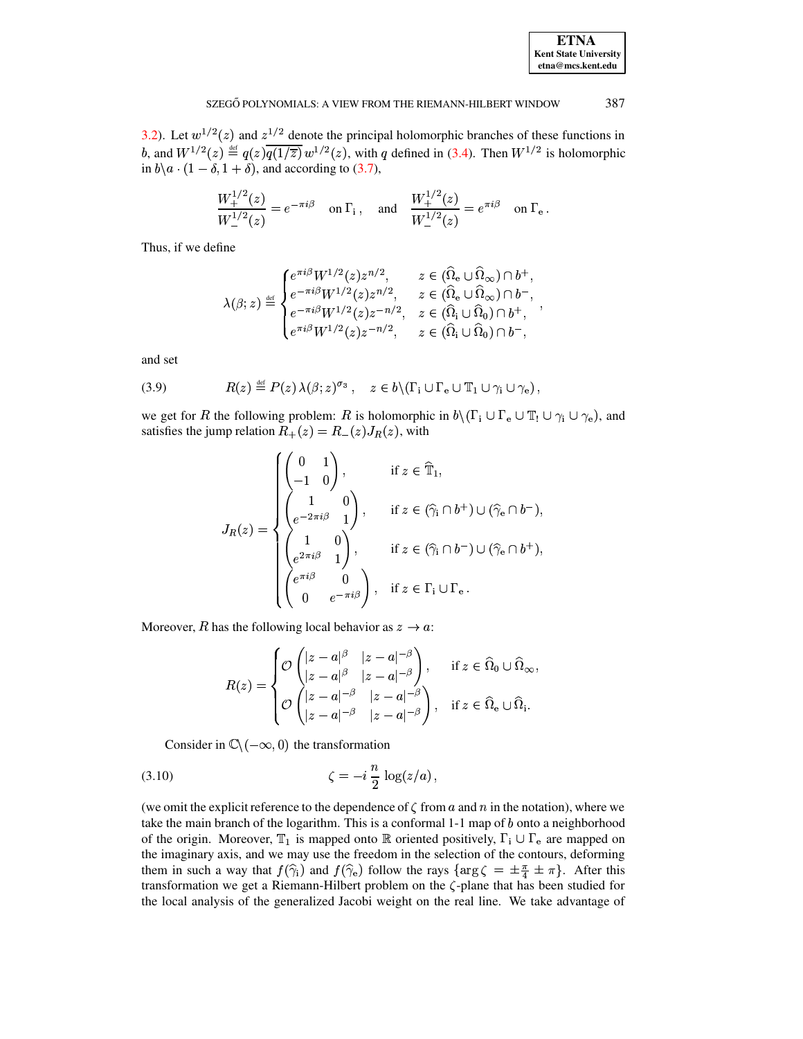| <b>ETNA</b>                  |
|------------------------------|
| <b>Kent State University</b> |
| etna@mcs.kent.edu            |

3.2). Let  $w^{1/2}(z)$  and  $z^{1/2}$  denote the principal holomorphic branches of these functions in b, and  $W^{1/2}(z) \stackrel{\text{def}}{=} q(z) \overline{q(1/\overline{z})} w^{1/2}(z)$ , with q defined in (3.4). Then  $W^{1/2}$  is holomorphic in  $b \setminus a \cdot (1 - \delta, 1 + \delta)$ , and according to (3.7),

$$
\frac{W_+^{1/2}(z)}{W_-^{1/2}(z)} = e^{-\pi i \beta} \quad \text{on } \Gamma_i \,, \quad \text{and} \quad \frac{W_+^{1/2}(z)}{W_-^{1/2}(z)} = e^{\pi i \beta} \quad \text{on } \Gamma_e
$$

Thus, if we define

$$
\lambda(\beta;z) \stackrel{\text{\tiny def}}{=} \begin{cases} e^{\pi i \beta} W^{1/2}(z) z^{n/2}, & z \in (\widehat{\Omega}_\mathrm{e} \cup \widehat{\Omega}_\infty) \cap b^+, \\ e^{-\pi i \beta} W^{1/2}(z) z^{n/2}, & z \in (\widehat{\Omega}_\mathrm{e} \cup \widehat{\Omega}_\infty) \cap b^-, \\ e^{-\pi i \beta} W^{1/2}(z) z^{-n/2}, & z \in (\widehat{\Omega}_\mathrm{i} \cup \widehat{\Omega}_0) \cap b^+, \\ e^{\pi i \beta} W^{1/2}(z) z^{-n/2}, & z \in (\widehat{\Omega}_\mathrm{i} \cup \widehat{\Omega}_0) \cap b^-, \end{cases}
$$

<span id="page-18-0"></span>and set

(3.9) 
$$
R(z) \stackrel{\text{def}}{=} P(z) \lambda(\beta; z)^{\sigma_3}, \quad z \in b \setminus (\Gamma_i \cup \Gamma_e \cup \mathbb{T}_1 \cup \gamma_i \cup \gamma_e),
$$

we get for R the following problem: R is holomorphic in  $b \setminus (\Gamma_i \cup \Gamma_e \cup \mathbb{T}_1 \cup \gamma_i \cup \gamma_e)$ , and satisfies the jump relation  $R_+(z) = R_-(z)J_R(z)$ , with

$$
J_R(z) = \begin{cases} \begin{pmatrix} 0 & 1 \\ -1 & 0 \end{pmatrix}, & \text{if } z \in \hat{\mathbb{T}}_1, \\ \begin{pmatrix} 1 & 0 \\ e^{-2\pi i \beta} & 1 \end{pmatrix}, & \text{if } z \in (\hat{\gamma}_i \cap b^+) \cup (\hat{\gamma}_e \cap b^-), \\ \begin{pmatrix} 1 & 0 \\ e^{2\pi i \beta} & 1 \end{pmatrix}, & \text{if } z \in (\hat{\gamma}_i \cap b^-) \cup (\hat{\gamma}_e \cap b^+), \\ \begin{pmatrix} e^{\pi i \beta} & 0 \\ 0 & e^{-\pi i \beta} \end{pmatrix}, & \text{if } z \in \Gamma_i \cup \Gamma_e. \end{cases}
$$

Moreover, R has the following local behavior as  $z \to a$ :

<span id="page-18-1"></span>
$$
R(z) = \begin{cases} \mathcal{O} \begin{pmatrix} |z - a|^{\beta} & |z - a|^{-\beta} \\ |z - a|^{\beta} & |z - a|^{-\beta} \end{pmatrix}, & \text{if } z \in \widehat{\Omega}_0 \cup \widehat{\Omega}_{\infty}, \\ \mathcal{O} \begin{pmatrix} |z - a|^{-\beta} & |z - a|^{-\beta} \\ |z - a|^{-\beta} & |z - a|^{-\beta} \end{pmatrix}, & \text{if } z \in \widehat{\Omega}_e \cup \widehat{\Omega}_i. \end{cases}
$$

Consider in  $\mathbb{C}\setminus(-\infty,0)$  the transformation

$$
\zeta = -i\frac{n}{2}\log(z/a)
$$

(we omit the explicit reference to the dependence of  $\zeta$  from a and n in the notation), where we take the main branch of the logarithm. This is a conformal  $1-1$  map of  $b$  onto a neighborhood of the origin. Moreover,  $T_1$  is mapped onto  $\mathbb R$  oriented positively,  $\Gamma_i \cup \Gamma_e$  are mapped on the imaginary axis, and we may use the freedom in the selection of the contours, deforming them in such a way that  $f(\hat{\gamma}_i)$  and  $f(\hat{\gamma}_e)$  follow the rays  $\{ \arg \zeta = \pm \frac{\pi}{4} \pm \pi \}$ . After this transformation we get a Riemann-Hilbert problem on the  $\zeta$ -plane that has been studied for the local analysis of the generalized Jacobi weight on the real line. We take advantage of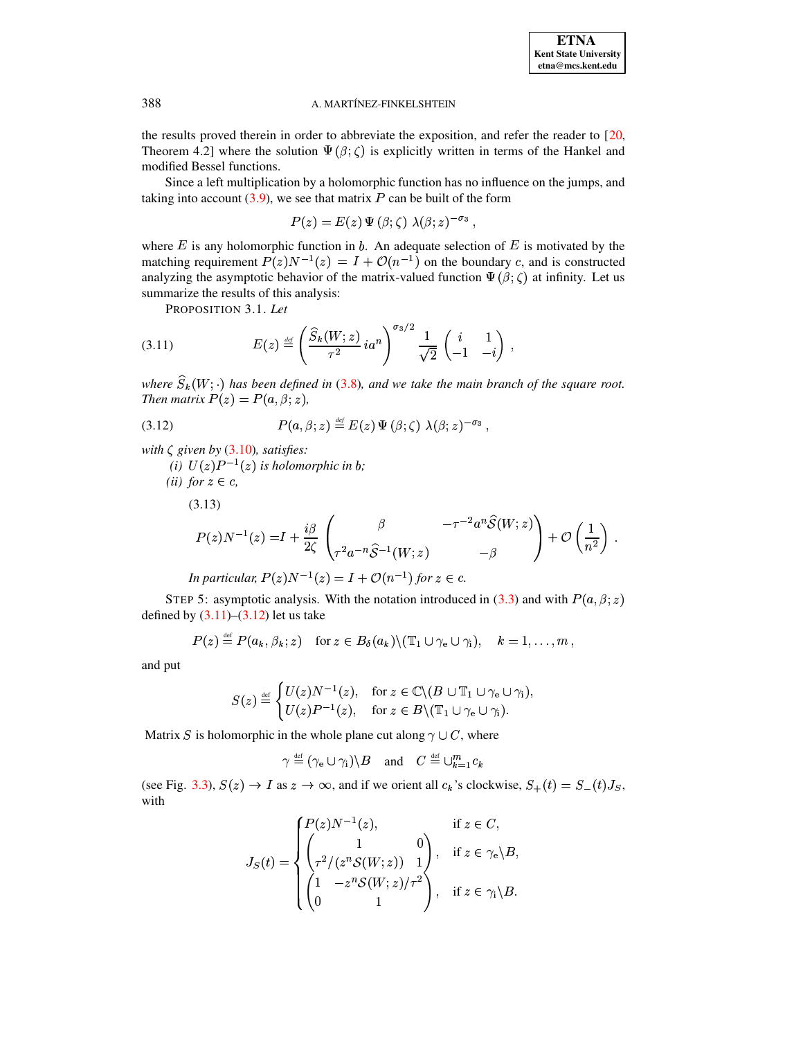the results proved therein in order to abbreviate the exposition, and refer the reader to  $[20, 120]$ Theorem 4.2] where the solution  $\Psi(\beta;\zeta)$  is explicitly written in terms of the Hankel and modified Bessel functions.

Since a left multiplication by a holomorphic function has no influence on the jumps, and taking into account  $(3.9)$ , we see that matrix P can be built of the form

$$
P(z) = E(z) \Psi(\beta; \zeta) \lambda(\beta; z)^{-\sigma_3}
$$

where  $E$  is any holomorphic function in  $b$ . An adequate selection of  $E$  is motivated by the matching requirement  $P(z)N^{-1}(z) = I + \mathcal{O}(n^{-1})$  on the boundary c, and is constructed analyzing the asymptotic behavior of the matrix-valued function  $\Psi(\beta;\zeta)$  at infinity. Let us summarize the results of this analysis:

<span id="page-19-0"></span>PROPOSITION 3.1. Let

$$
(3.11) \t E(z) \stackrel{\text{def}}{=} \left(\frac{\widehat{S}_k(W; z)}{\tau^2} i a^n\right)^{\sigma_3/2} \frac{1}{\sqrt{2}} \begin{pmatrix} i & 1\\ -1 & -i \end{pmatrix}
$$

<span id="page-19-1"></span>where  $\widehat{S}_k(W;\cdot)$  has been defined in (3.8), and we take the main branch of the square root. Then matrix  $P(z) = P(a, \beta; z)$ ,

(3.12) 
$$
P(a,\beta;z) \stackrel{\text{def}}{=} E(z) \Psi(\beta;\zeta) \lambda(\beta;z)^{-\sigma_3},
$$

with  $\zeta$  given by (3.10), satisfies:

<span id="page-19-2"></span>(i)  $U(z)P^{-1}(z)$  is holomorphic in b; (*ii*) for  $z \in c$ ,  $(3.13)$  $P(z)N^{-1}(z) = I + \frac{i\beta}{2\zeta}\begin{pmatrix} \beta & -\tau^{-2}a^n\widehat{\mathcal{S}}(W;z) \ \tau^2a^{-n}\widehat{\mathcal{S}}^{-1}(W;z) & -\beta \end{pmatrix} + \mathcal{O}\left(\frac{1}{n^2}\right)\,.$ In particular,  $P(z)N^{-1}(z) = I + \mathcal{O}(n^{-1})$  for  $z \in c$ .

STEP 5: asymptotic analysis. With the notation introduced in (3.3) and with  $P(a, \beta; z)$ defined by  $(3.11)$ – $(3.12)$  let us take

$$
P(z) \stackrel{\text{def}}{=} P(a_k, \beta_k; z) \quad \text{for } z \in B_\delta(a_k) \setminus (\mathbb{T}_1 \cup \gamma_e \cup \gamma_i), \quad k = 1, \ldots, m,
$$

and put

$$
S(z) \stackrel{\text{def}}{=} \begin{cases} U(z)N^{-1}(z), & \text{for } z \in \mathbb{C} \setminus (B \cup \mathbb{T}_1 \cup \gamma_e \cup \gamma_i), \\ U(z)P^{-1}(z), & \text{for } z \in B \setminus (\mathbb{T}_1 \cup \gamma_e \cup \gamma_i). \end{cases}
$$

Matrix S is holomorphic in the whole plane cut along  $\gamma \cup C$ , where

$$
\gamma \stackrel{\text{\tiny def}}{=} (\gamma_e \cup \gamma_i) \setminus B \quad \text{and} \quad C \stackrel{\text{\tiny def}}{=} \cup_{k=1}^m c_k
$$

(see Fig. 3.3),  $S(z) \rightarrow I$  as  $z \rightarrow \infty$ , and if we orient all  $c_k$ 's clockwise,  $S_+(t) = S_-(t)J_S$ , with

$$
J_S(t) = \begin{cases} P(z)N^{-1}(z), & \text{if } z \in C, \\ \begin{pmatrix} 1 & 0 \\ \tau^2/(z^n S(W; z)) & 1 \end{pmatrix}, & \text{if } z \in \gamma_e \backslash B, \\ \begin{pmatrix} 1 & -z^n S(W; z)/\tau^2 \\ 0 & 1 \end{pmatrix}, & \text{if } z \in \gamma_i \backslash B. \end{cases}
$$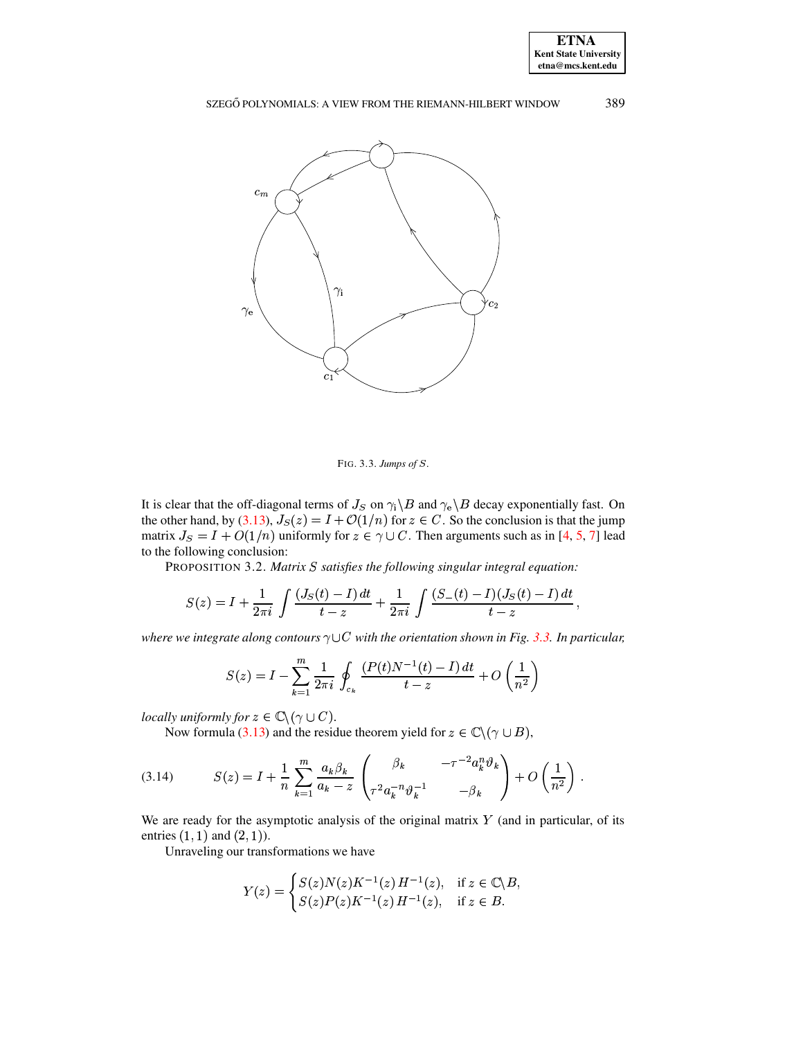



<span id="page-20-0"></span>FIG. 3.3. Jumps of  $S$ .

It is clear that the off-diagonal terms of  $J_S$  on  $\gamma_i \backslash B$  and  $\gamma_e \backslash B$  decay exponentially fast. On the other hand, by (3.13),  $J_S(z) = I + \mathcal{O}(1/n)$  for  $z \in C$ . So the conclusion is that the jump matrix  $J_S = I + O(1/n)$  uniformly for  $z \in \gamma \cup C$ . Then arguments such as in [4, 5, 7] lead to the following conclusion:

PROPOSITION 3.2. Matrix S satisfies the following singular integral equation:

$$
S(z) = I + \frac{1}{2\pi i} \int \frac{(J_S(t) - I) dt}{t - z} + \frac{1}{2\pi i} \int \frac{(S_-(t) - I)(J_S(t) - I) dt}{t - z},
$$

where we integrate along contours  $\gamma \cup C$  with the orientation shown in Fig. 3.3. In particular,

<span id="page-20-1"></span>
$$
S(z) = I - \sum_{k=1}^{m} \frac{1}{2\pi i} \oint_{c_k} \frac{(P(t)N^{-1}(t) - I) dt}{t - z} + O\left(\frac{1}{n^2}\right)
$$

locally uniformly for  $z \in \mathbb{C} \setminus (\gamma \cup C)$ .

Now formula (3.13) and the residue theorem yield for  $z \in \mathbb{C} \setminus (\gamma \cup B)$ ,

(3.14) 
$$
S(z) = I + \frac{1}{n} \sum_{k=1}^{m} \frac{a_k \beta_k}{a_k - z} \left( \frac{\beta_k}{\tau^2 a_k^{-n} \vartheta_k^{-1}} - \frac{\tau^{-2} a_k^{n} \vartheta_k}{-\beta_k} \right) + O\left(\frac{1}{n^2}\right).
$$

We are ready for the asymptotic analysis of the original matrix  $Y$  (and in particular, of its entries  $(1, 1)$  and  $(2, 1)$ ).

Unraveling our transformations we have

$$
Y(z) = \begin{cases} S(z)N(z)K^{-1}(z) H^{-1}(z), & \text{if } z \in \mathbb{C} \backslash B, \\ S(z)P(z)K^{-1}(z) H^{-1}(z), & \text{if } z \in B. \end{cases}
$$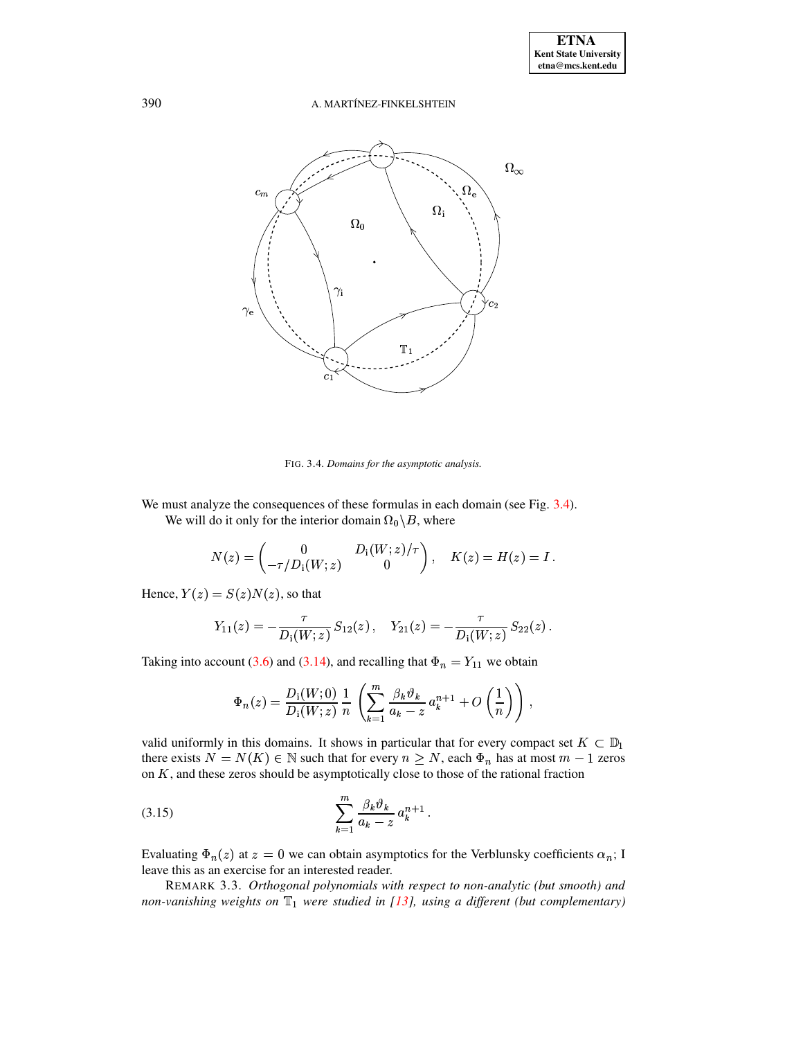

<span id="page-21-0"></span>FIG. 3.4. Domains for the asymptotic analysis.

We must analyze the consequences of these formulas in each domain (see Fig. 3.4). We will do it only for the interior domain  $\Omega_0 \backslash B$ , where

$$
N(z) = \begin{pmatrix} 0 & D_1(W; z)/\tau \\ -\tau/D_1(W; z) & 0 \end{pmatrix}, \quad K(z) = H(z) = I.
$$

Hence,  $Y(z) = S(z)N(z)$ , so that

$$
Y_{11}(z) = -\frac{\tau}{D_1(W; z)} S_{12}(z) , \quad Y_{21}(z) = -\frac{\tau}{D_1(W; z)} S_{22}(z)
$$

Taking into account (3.6) and (3.14), and recalling that  $\Phi_n = Y_{11}$  we obtain

<span id="page-21-1"></span>
$$
\Phi_n(z) = \frac{D_i(W;0)}{D_i(W;z)} \frac{1}{n} \left( \sum_{k=1}^m \frac{\beta_k \vartheta_k}{a_k - z} a_k^{n+1} + O\left(\frac{1}{n}\right) \right),
$$

valid uniformly in this domains. It shows in particular that for every compact set  $K \subset \mathbb{D}_1$ there exists  $N = N(K) \in \mathbb{N}$  such that for every  $n \geq N$ , each  $\Phi_n$  has at most  $m - 1$  zeros on  $K$ , and these zeros should be asymptotically close to those of the rational fraction

(3.15) 
$$
\sum_{k=1}^{m} \frac{\beta_k \vartheta_k}{a_k - z} a_k^{n+1}
$$

Evaluating  $\Phi_n(z)$  at  $z = 0$  we can obtain asymptotics for the Verblunsky coefficients  $\alpha_n$ ; I leave this as an exercise for an interested reader.

REMARK 3.3. Orthogonal polynomials with respect to non-analytic (but smooth) and non-vanishing weights on  $\mathbb{T}_1$  were studied in [13], using a different (but complementary)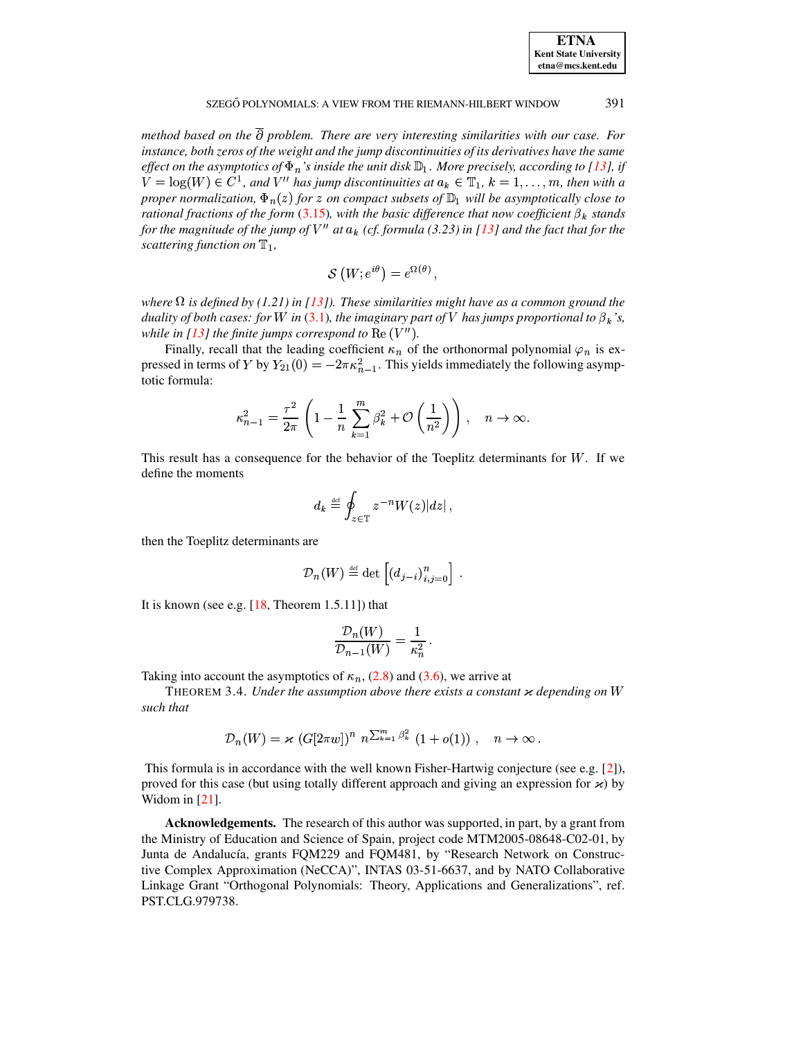| <b>ETNA</b>                  |
|------------------------------|
| <b>Kent State University</b> |
| etna@mcs.kent.edu            |

method based on the  $\partial$  problem. There are very interesting similarities with our case. For instance, both zeros of the weight and the jump discontinuities of its derivatives have the same effect on the asymptotics of  $\Phi_n$ 's inside the unit disk  $\mathbb{D}_1$ . More precisely, according to [13], if  $V = \log(W) \in C^1$ , and V'' has jump discontinuities at  $a_k \in \mathbb{T}_1$ ,  $k = 1, ..., m$ , then with a proper normalization,  $\Phi_n(z)$  for z on compact subsets of  $\mathbb{D}_1$  will be asymptotically close to rational fractions of the form (3.15), with the basic difference that now coefficient  $\beta_k$  stands for the magnitude of the jump of  $V''$  at  $a_k$  (cf. formula (3.23) in [13] and the fact that for the scattering function on  $\mathbb{T}_1$ ,

$$
\mathcal{S}(W; e^{i\theta}) = e^{\Omega(\theta)},
$$

where  $\Omega$  is defined by (1.21) in [13]). These similarities might have as a common ground the duality of both cases: for W in (3.1), the imaginary part of V has jumps proportional to  $\beta_k$ 's, while in [13] the finite jumps correspond to  $\text{Re}(V'')$ .

Finally, recall that the leading coefficient  $\kappa_n$  of the orthonormal polynomial  $\varphi_n$  is expressed in terms of Y by  $Y_{21}(0) = -2\pi\kappa_{n-1}^2$ . This yields immediately the following asymptotic formula:

$$
\kappa_{n-1}^2 = \frac{\tau^2}{2\pi} \left( 1 - \frac{1}{n} \sum_{k=1}^m \beta_k^2 + \mathcal{O}\left(\frac{1}{n^2}\right) \right), \quad n \to \infty.
$$

This result has a consequence for the behavior of the Toeplitz determinants for  $W$ . If we define the moments

$$
d_k \stackrel{\text{def}}{=} \oint_{z \in \mathbb{T}} z^{-n} W(z) |dz|,
$$

then the Toeplitz determinants are

$$
\mathcal{D}_n(W) \stackrel{\text{def}}{=} \det \left[ \left( d_{j-i} \right)_{i,j=0}^n \right] \, .
$$

It is known (see e.g.  $[18,$  Theorem 1.5.11]) that

$$
\frac{\mathcal{D}_n(W)}{\mathcal{D}_{n-1}(W)} = \frac{1}{\kappa_n^2} \, .
$$

Taking into account the asymptotics of  $\kappa_n$ , (2.8) and (3.6), we arrive at

THEOREM 3.4. Under the assumption above there exists a constant  $\varkappa$  depending on W such that

$$
\mathcal{D}_n(W) = \varkappa \, \left( G[2\pi w] \right)^n \, n^{\sum_{k=1}^m \beta_k^2} \, \left( 1 + o(1) \right) \, , \quad n \to \infty \, .
$$

This formula is in accordance with the well known Fisher-Hartwig conjecture (see e.g.  $[2]$ ), proved for this case (but using totally different approach and giving an expression for  $\varkappa$ ) by Widom in  $[21]$ .

**Acknowledgements.** The research of this author was supported, in part, by a grant from the Ministry of Education and Science of Spain, project code MTM2005-08648-C02-01, by Junta de Andalucía, grants FQM229 and FQM481, by "Research Network on Constructive Complex Approximation (NeCCA)", INTAS 03-51-6637, and by NATO Collaborative Linkage Grant "Orthogonal Polynomials: Theory, Applications and Generalizations", ref. PST.CLG.979738.